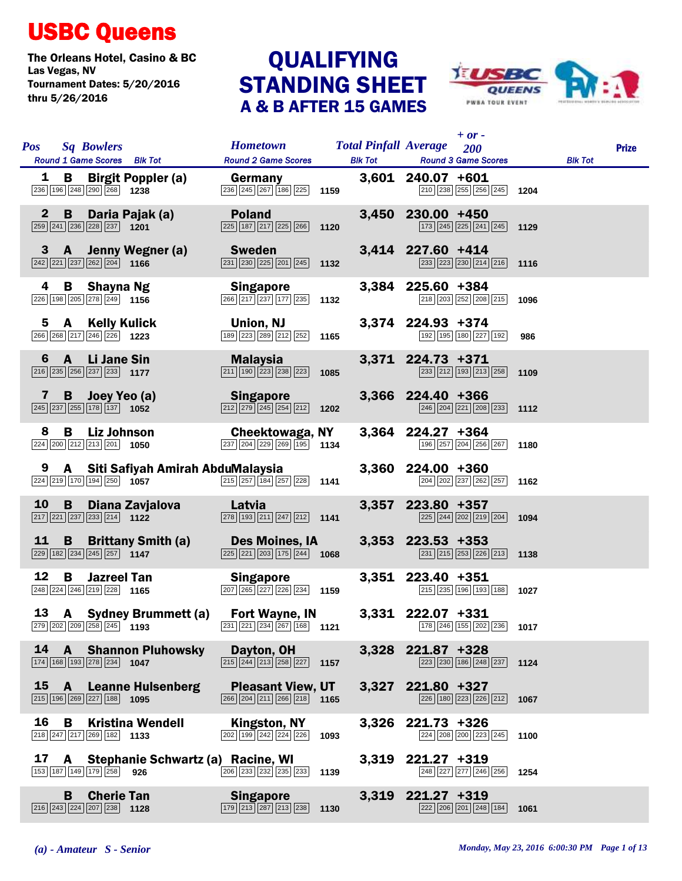## USBC Queens

The Orleans Hotel, Casino & BC<br>Las Vegas, NV<br>
QUALIFYING Tournament Dates: 5/20/2016 thru 5/26/2016

## QUALIFYING<br>STANDING SHEET A & B AFTER 15 GAMES



| <b>Pos</b>   | <b>Sq Bowlers</b>                                                                      | Round 1 Game Scores Blk Tot                                                                                                  | <b>Hometown</b> Total Pinfall Average 200<br><b>Round 2 Game Scores</b>                                         |      | <b>Blk Tot</b> | $+$ or -<br><b>Round 3 Game Scores</b>                                                                 |      | <b>Blk Tot</b> | <b>Prize</b> |
|--------------|----------------------------------------------------------------------------------------|------------------------------------------------------------------------------------------------------------------------------|-----------------------------------------------------------------------------------------------------------------|------|----------------|--------------------------------------------------------------------------------------------------------|------|----------------|--------------|
|              | $\boxed{236}$ 196 248 290 268 1238                                                     | <b>1 B Birgit Poppler (a)</b>                                                                                                | <b>Germany</b><br>$\overline{236}$ $\overline{245}$ $\overline{267}$ $\overline{186}$ $\overline{225}$ 1159     |      |                | 3,601 240.07 +601<br>$\boxed{210}$ $\boxed{238}$ $\boxed{255}$ $\boxed{256}$ $\boxed{245}$ 1204        |      |                |              |
| $\mathbf{2}$ | 259 241 236 228 237 1201                                                               | B Daria Pajak (a) Poland                                                                                                     | $\boxed{225}$ 187 $\boxed{217}$ $\boxed{225}$ $\boxed{266}$ 1120                                                |      |                | 3,450 230.00 +450<br>$\boxed{173}$ $\boxed{245}$ $\boxed{225}$ $\boxed{241}$ $\boxed{245}$ 1129        |      |                |              |
|              | $\boxed{242}$ $\boxed{221}$ $\boxed{237}$ $\boxed{262}$ $\boxed{204}$ <b>1166</b>      | 3 A Jenny Wegner (a) Sweden                                                                                                  | $\boxed{231}$ $\boxed{230}$ $\boxed{225}$ $\boxed{201}$ $\boxed{245}$ <b>1132</b>                               |      |                | 3,414 227.60 +414<br>$\boxed{233}$ $\boxed{223}$ $\boxed{230}$ $\boxed{214}$ $\boxed{216}$ 1116        |      |                |              |
|              |                                                                                        | <b>4 B Shayna Ng</b><br><sup>226</sup> <sup>198</sup> <sup>205</sup> <sup>278</sup> <sup>249</sup> 1156                      | <b>Singapore</b><br>$\boxed{266}\boxed{217}\boxed{237}\boxed{177}\boxed{235}$ 1132                              |      |                | 3,384 225.60 +384<br>218 203 252 208 215 1096                                                          |      |                |              |
|              | $\boxed{266}$ $\boxed{268}$ $\boxed{217}$ $\boxed{246}$ $\boxed{226}$ <b>1223</b>      | <b>5 A Kelly Kulick</b><br>36 268 217 246 226 1223                                                                           | Union, NJ<br>$\overline{189}$ $\overline{223}$ $\overline{289}$ $\overline{212}$ $\overline{252}$ <b>1165</b>   |      |                | 3,374 224.93 +374<br>192 195 180 227 192 986                                                           |      |                |              |
| 6            | $\boxed{216}$ $\boxed{235}$ $\boxed{256}$ $\boxed{237}$ $\boxed{233}$ <b>1177</b>      | <b>Example 20 A</b> Li Jane Sin <b>Malaysia</b>                                                                              | $\overline{211}$ 190 $\overline{223}$ $\overline{238}$ $\overline{223}$ 1085                                    |      |                | 3,371 224.73 +371<br>$\boxed{233}$ $\boxed{212}$ $\boxed{193}$ $\boxed{213}$ $\boxed{258}$ 1109        |      |                |              |
|              |                                                                                        | <b>7 B Joey Yeo (a)</b><br>$\frac{245}{237}$ $\frac{237}{255}$ $\frac{178}{178}$ $\frac{137}{1052}$ <b>1052</b>              | <b>Singapore Singapore</b><br>$\boxed{212}$ $\boxed{279}$ $\boxed{245}$ $\boxed{254}$ $\boxed{212}$ <b>1202</b> |      |                | 3,366 224.40 +366<br>$\boxed{246}$ $\boxed{204}$ $\boxed{221}$ $\boxed{208}$ $\boxed{233}$ <b>1112</b> |      |                |              |
| 8            | 224 200 212 213 201 1050                                                               | <b>B</b> Liz Johnson                                                                                                         | Cheektowaga, NY<br>$\boxed{237}$ $\boxed{204}$ $\boxed{229}$ $\boxed{269}$ $\boxed{195}$ 1134                   |      |                | $3,364$ 224.27 +364<br>196 257 204 256 267 1180                                                        |      |                |              |
| 9            | 224 219 170 194 250 1057                                                               | A Siti Safiyah Amirah AbduMalaysia                                                                                           | $\boxed{215}$ $\boxed{257}$ $\boxed{184}$ $\boxed{257}$ $\boxed{228}$ 1141                                      |      |                | 3,360 224.00 +360<br>204 202 237 262 257 1162                                                          |      |                |              |
| 10           |                                                                                        | B Diana Zavjalova Latvia<br>$\boxed{217}$ $\boxed{221}$ $\boxed{237}$ $\boxed{233}$ $\boxed{214}$ <b>1122</b>                | $\boxed{278}$ 193 $\boxed{211}$ $\boxed{247}$ $\boxed{212}$ 1141                                                |      |                | 3,357 223.80 +357<br>225 244 202 219 204 1094                                                          |      |                |              |
| 11           | $\boxed{229}$ 182 234 245 257 1147                                                     | <b>B</b> Brittany Smith (a) Des Moines, IA                                                                                   | $\sqrt{225}\sqrt{221}\sqrt{203}\sqrt{175}\sqrt{244}$ 1068                                                       |      |                | 3,353 223.53 +353<br>$\boxed{231}$ $\boxed{215}$ $\boxed{253}$ $\boxed{226}$ $\boxed{213}$ <b>1138</b> |      |                |              |
| 12           | B<br>$\boxed{248}$ $\boxed{224}$ $\boxed{246}$ $\boxed{219}$ $\boxed{228}$ <b>1165</b> | <b>Jazreel Tan</b>                                                                                                           | Singapore<br>$\boxed{207}$ $\boxed{265}$ $\boxed{227}$ $\boxed{226}$ $\boxed{234}$ 1159                         |      |                | 3,351 223.40 +351<br>215 235 196 193 188 1027                                                          |      |                |              |
|              |                                                                                        | 13 A Sydney Brummett (a) Fort Wayne, IN<br>$\boxed{279}$ $\boxed{202}$ $\boxed{209}$ $\boxed{258}$ $\boxed{245}$ <b>1193</b> | $\boxed{231}$ $\boxed{221}$ $\boxed{234}$ $\boxed{267}$ $\boxed{168}$ <b>1121</b>                               |      |                | 3,331 222.07 +331<br>$\frac{1}{\sqrt{178}}\sqrt{246}\sqrt{155}\sqrt{202}\sqrt{236}$ 1017               |      |                |              |
| 14           | 174 168 193 278 234 1047                                                               | <b>A</b> Shannon Pluhowsky                                                                                                   | Dayton, OH<br>$\boxed{215}$ $\boxed{244}$ $\boxed{213}$ $\boxed{258}$ $\boxed{227}$                             | 1157 |                | 3,328 221.87 +328<br>223 230 186 248 237                                                               | 1124 |                |              |
| 15           | 215 196 269 227 188 1095                                                               | <b>A</b> Leanne Hulsenberg                                                                                                   | <b>Pleasant View, UT</b><br>266 204 211 266 218                                                                 | 1165 |                | 3,327 221.80 +327<br>226 180 223 226 212                                                               | 1067 |                |              |
| 16           | B<br>$\boxed{218}$ $\boxed{247}$ $\boxed{217}$ $\boxed{269}$ $\boxed{182}$ <b>1133</b> | <b>Kristina Wendell</b>                                                                                                      | Kingston, NY<br>$\boxed{202}$ $\boxed{199}$ $\boxed{242}$ $\boxed{224}$ $\boxed{226}$                           | 1093 | 3,326          | $221.73 + 326$<br>224 208 200 223 245                                                                  | 1100 |                |              |
| 17           | A —<br>153 187 149 179 258 926                                                         | Stephanie Schwartz (a) Racine, WI                                                                                            | 206 233 232 235 233                                                                                             | 1139 | 3,319          | 221.27 +319<br>248 227 277 246 256                                                                     | 1254 |                |              |
|              | B<br>$\boxed{216}$ $\boxed{243}$ $\boxed{224}$ $\boxed{207}$ $\boxed{238}$ <b>1128</b> | <b>Cherie Tan</b>                                                                                                            | <b>Singapore</b><br>179 213 287 213 238                                                                         | 1130 | 3,319          | 221.27 +319<br>222 206 201 248 184                                                                     | 1061 |                |              |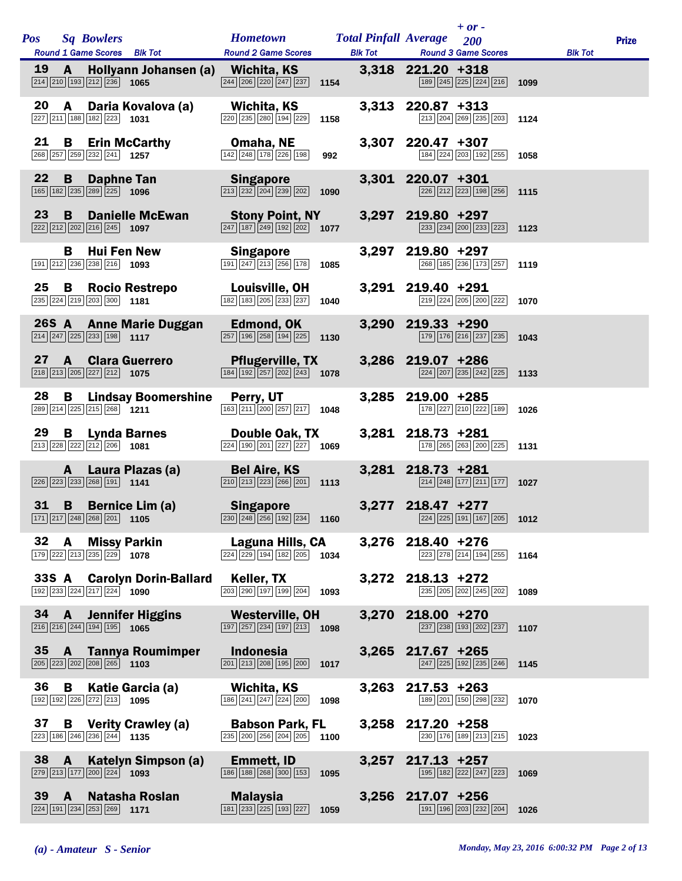|           |              | Pos Sq Bowlers                                                                                                                                                                                                                                                                                | <b>Hometown Total Pinfall Average</b>                                                                        |      |                     | $+ or -$<br>200                                                                   |      |                | <b>Prize</b> |
|-----------|--------------|-----------------------------------------------------------------------------------------------------------------------------------------------------------------------------------------------------------------------------------------------------------------------------------------------|--------------------------------------------------------------------------------------------------------------|------|---------------------|-----------------------------------------------------------------------------------|------|----------------|--------------|
|           |              | Round 1 Game Scores Blk Tot                                                                                                                                                                                                                                                                   | <b>Round 2 Game Scores</b>                                                                                   |      |                     | <b>Blk Tot Round 3 Game Scores</b>                                                |      | <b>Blk Tot</b> |              |
| <b>19</b> | $\mathbf{A}$ | Hollyann Johansen (a) Wichita, KS<br>$\boxed{214}$ $\boxed{210}$ $\boxed{193}$ $\boxed{212}$ $\boxed{236}$ <b>1065</b>                                                                                                                                                                        | $\boxed{244}$ $\boxed{206}$ $\boxed{220}$ $\boxed{247}$ $\boxed{237}$ <b>1154</b>                            |      | 3,318 221.20 +318   | 189 245 225 224 216 1099                                                          |      |                |              |
| 20        |              | A Daria Kovalova (a)<br>227 211 188 182 223 1031                                                                                                                                                                                                                                              | Wichita, KS<br>220 235 280 194 229                                                                           | 1158 | 3,313 220.87 +313   | 213 204 269 235 203 1124                                                          |      |                |              |
| 21        | B            | <b>Erin McCarthy</b><br>268 257 259 232 241 1257                                                                                                                                                                                                                                              | Omaha, NE<br>$\boxed{142}$ $\boxed{248}$ $\boxed{178}$ $\boxed{226}$ $\boxed{198}$                           | 992  | 3,307 220.47 +307   | $\boxed{184}$ $\boxed{224}$ $\boxed{203}$ $\boxed{192}$ $\boxed{255}$ <b>1058</b> |      |                |              |
| 22        | B            | Daphne Tan<br>165 182 235 289 225 1096                                                                                                                                                                                                                                                        | Singapore<br>$\boxed{213}$ $\boxed{232}$ $\boxed{204}$ $\boxed{239}$ $\boxed{202}$ 1090                      |      | 3,301 220.07 +301   | $\boxed{226}$ $\boxed{212}$ $\boxed{223}$ $\boxed{198}$ $\boxed{256}$ 1115        |      |                |              |
| 23        | <b>B</b>     | <b>Danielle McEwan</b><br>$\boxed{222}\boxed{212}\boxed{202}\boxed{216}\boxed{245}$ 1097                                                                                                                                                                                                      | <b>Stony Point, NY</b><br>$\boxed{247}$ 187 $\boxed{249}$ 192 $\boxed{202}$ 1077                             |      | 3,297 219.80 +297   | $\boxed{233}$ $\boxed{234}$ $\boxed{200}$ $\boxed{233}$ $\boxed{223}$ <b>1123</b> |      |                |              |
|           | В            | <b>Hui Fen New</b><br>191 212 236 238 216 1093                                                                                                                                                                                                                                                | Singapore<br>$\boxed{191}$ $\boxed{247}$ $\boxed{213}$ $\boxed{256}$ $\boxed{178}$                           | 1085 | 3,297 219.80 +297   | 268 185 236 173 257 1119                                                          |      |                |              |
| 25        | $\mathbf{B}$ | <b>Rocio Restrepo</b><br>$\boxed{235}$ $\boxed{224}$ $\boxed{219}$ $\boxed{203}$ $\boxed{300}$ 1181                                                                                                                                                                                           | <b>Louisville, OH</b><br>$\boxed{182}$ $\boxed{183}$ $\boxed{205}$ $\boxed{233}$ $\boxed{237}$ <b>1040</b>   |      | 3,291 219.40 +291   | $\boxed{219}$ $\boxed{224}$ $\boxed{205}$ $\boxed{200}$ $\boxed{222}$ <b>1070</b> |      |                |              |
|           |              | 26S A Anne Marie Duggan<br>$\boxed{214}$ $\boxed{247}$ $\boxed{225}$ $\boxed{233}$ $\boxed{198}$ 1117                                                                                                                                                                                         | Edmond, OK<br>$\overline{257}$ 196 $\overline{258}$ 194 $\overline{225}$ 1130                                |      | 3,290 219.33 +290   | 179 176 216 237 235 1043                                                          |      |                |              |
|           |              | 27 A Clara Guerrero<br>$\boxed{218}\boxed{213}\boxed{205}\boxed{227}\boxed{212}$ 1075                                                                                                                                                                                                         | <b>Pflugerville, TX</b><br>$\boxed{184}$ $\boxed{192}$ $\boxed{257}$ $\boxed{202}$ $\boxed{243}$ <b>1078</b> |      | 3,286 219.07 +286   | 224 207 235 242 225 1133                                                          |      |                |              |
| 28        |              | <b>B</b> Lindsay Boomershine Perry, UT<br>289 214 225 215 268 1211                                                                                                                                                                                                                            | $\boxed{163}$ $\boxed{211}$ $\boxed{200}$ $\boxed{257}$ $\boxed{217}$ <b>1048</b>                            |      | 3,285 219.00 +285   | 178 227 210 222 189                                                               | 1026 |                |              |
| 29        |              | <b>B</b> Lynda Barnes<br>$\boxed{213}$ $\boxed{228}$ $\boxed{222}$ $\boxed{212}$ $\boxed{206}$ <b>1081</b>                                                                                                                                                                                    | Double Oak, TX<br>$\overline{224}$ 190 $\overline{201}$ $\overline{227}$ $\overline{227}$ 1069               |      | 3,281 218.73 +281   | 178 265 263 200 225 1131                                                          |      |                |              |
|           | $\mathbf{A}$ | Laura Plazas (a) Bel Aire, KS<br>$\boxed{226}$ $\boxed{223}$ $\boxed{233}$ $\boxed{268}$ $\boxed{191}$ 1141                                                                                                                                                                                   | $\boxed{210}$ $\boxed{213}$ $\boxed{223}$ $\boxed{266}$ $\boxed{201}$ 1113                                   |      | 3,281 218.73 +281   | 214 248 177 211 177                                                               | 1027 |                |              |
|           |              | <b>B</b> Bernice Lim (a)<br>31 B Bernice Lim (a) Singapore 3,277 218.47 +277<br>$\frac{218.47}{224}$ $\frac{228}{288}$ $\frac{201}{201}$ 1105 230 $\frac{230}{248}$ $\frac{256}{192}$ $\frac{524}{196}$ 1160 224 $\frac{224}{258}$ $\frac{224}{191}$ $\frac{205}{191}$ $\frac{205}{191}$ 2012 |                                                                                                              |      |                     |                                                                                   |      |                |              |
| 32 A      |              | <b>Missy Parkin</b><br>179 222 213 235 229 1078                                                                                                                                                                                                                                               | <b>Laguna Hills, CA</b>                                                                                      |      | 3,276 218.40 +276   | $\boxed{223}$ $\boxed{278}$ $\boxed{214}$ $\boxed{194}$ $\boxed{255}$ <b>1164</b> |      |                |              |
|           |              | 33S A Carolyn Dorin-Ballard Keller, TX<br>$\overline{192}$ 233 224 217 224 1090                                                                                                                                                                                                               | $\overline{203}$ $\overline{290}$ $\overline{197}$ $\overline{199}$ $\overline{204}$ 1093                    |      | 3,272 218.13 +272   | 235 205 202 245 202 1089                                                          |      |                |              |
|           |              | 34 A Jennifer Higgins Westerville, OH<br>$\boxed{216}$ $\boxed{216}$ $\boxed{244}$ $\boxed{194}$ $\boxed{195}$ <b>1065</b>                                                                                                                                                                    | $\boxed{197}$ $\boxed{257}$ $\boxed{234}$ $\boxed{197}$ $\boxed{213}$ <b>1098</b>                            |      | 3,270 218.00 +270   | 237 238 193 202 237 1107                                                          |      |                |              |
|           |              | 35 A Tannya Roumimper Indonesia<br>$\boxed{205}$ $\boxed{223}$ $\boxed{202}$ $\boxed{208}$ $\boxed{265}$ 1103                                                                                                                                                                                 | $\boxed{201}$ $\boxed{213}$ $\boxed{208}$ $\boxed{195}$ $\boxed{200}$ <b>1017</b>                            |      | 3,265 217.67 +265   | $\boxed{247}$ $\boxed{225}$ $\boxed{192}$ $\boxed{235}$ $\boxed{246}$ <b>1145</b> |      |                |              |
| 36        |              | <b>B</b> Katie Garcia (a)<br>192 192 226 272 213 1095                                                                                                                                                                                                                                         | Wichita, KS<br>$\boxed{186}$ $\boxed{241}$ $\boxed{247}$ $\boxed{224}$ $\boxed{200}$                         | 1098 | $3,263$ 217.53 +263 | 189 201 150 298 232 1070                                                          |      |                |              |
| 37        |              | <b>B</b> Verity Crawley (a) <b>Babson Park, FL</b><br>$\boxed{223}$ 186 $\boxed{246}$ $\boxed{236}$ $\boxed{244}$ 1135                                                                                                                                                                        | 235 200 256 204 205                                                                                          | 1100 | 3,258 217.20 +258   | 230 176 189 213 215 1023                                                          |      |                |              |
| 38 A      |              | Katelyn Simpson (a)<br>$\boxed{279}$ $\boxed{213}$ $\boxed{177}$ $\boxed{200}$ $\boxed{224}$ <b>1093</b>                                                                                                                                                                                      | Emmett, ID<br>$\boxed{186}$ $\boxed{188}$ $\boxed{268}$ $\boxed{300}$ $\boxed{153}$ <b>1095</b>              |      | $3,257$ 217.13 +257 | 195 182 222 247 223 1069                                                          |      |                |              |
| 39        | $\mathbf{A}$ | Natasha Roslan<br>$\boxed{224}$ 191 $\boxed{234}$ $\boxed{253}$ $\boxed{269}$ 1171                                                                                                                                                                                                            | Malaysia<br>$\boxed{181}$ $\boxed{233}$ $\boxed{225}$ $\boxed{193}$ $\boxed{227}$ <b>1059</b>                |      | 3,256 217.07 +256   | 191 196 203 232 204 1026                                                          |      |                |              |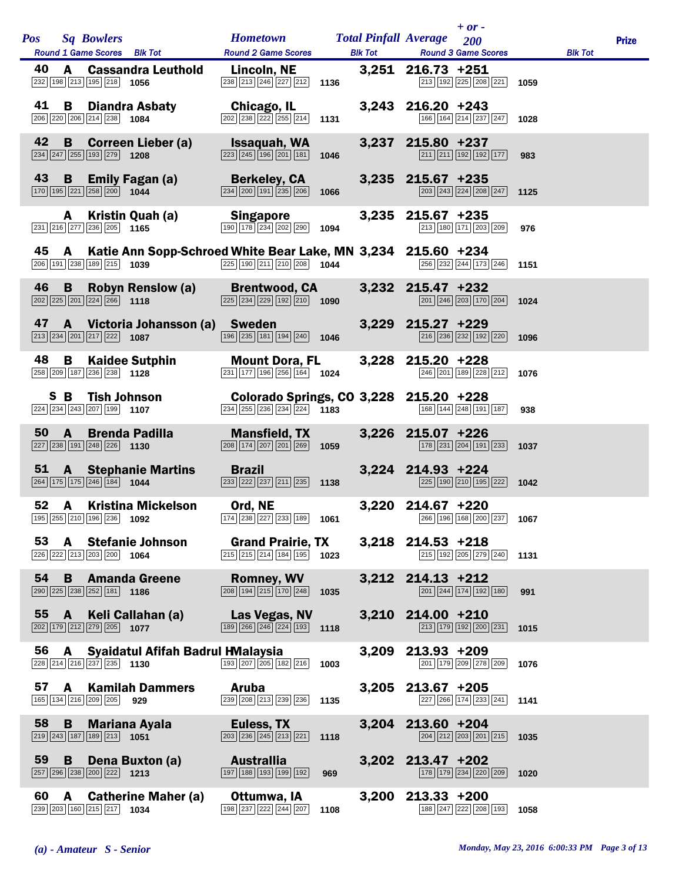|    |              | Pos Sq Bowlers                                                                    | <b>Round 1 Game Scores</b> Blk Tot                                                | <b>Hometown Total Pinfall Average</b><br><b>Round 2 Game Scores</b>                                                                                                                                                                                      |      |                     | $+ or -$<br>200<br><b>Blk Tot Round 3 Game Scores</b>                                                                                             |      | <b>Blk Tot</b> | <b>Prize</b> |
|----|--------------|-----------------------------------------------------------------------------------|-----------------------------------------------------------------------------------|----------------------------------------------------------------------------------------------------------------------------------------------------------------------------------------------------------------------------------------------------------|------|---------------------|---------------------------------------------------------------------------------------------------------------------------------------------------|------|----------------|--------------|
| 40 |              | 232 198 213 195 218 1056                                                          |                                                                                   | A Cassandra Leuthold Lincoln, NE<br>$\overline{238}$ $\overline{213}$ $\overline{246}$ $\overline{227}$ $\overline{212}$ <b>1136</b>                                                                                                                     |      | 3,251 216.73 +251   | 213 192 225 208 221 1059                                                                                                                          |      |                |              |
| 41 |              | 206 220 206 214 238 1084                                                          | <b>B</b> Diandra Asbaty                                                           | <b>Chicago, IL</b><br>202 238 222 255 214                                                                                                                                                                                                                | 1131 | $3,243$ 216.20 +243 | 166 164 214 237 247 1028                                                                                                                          |      |                |              |
| 42 |              | $\overline{234}$ $\overline{247}$ $\overline{255}$ 193 $\overline{279}$ 1208      |                                                                                   | <b>B</b> Correen Lieber (a) Issaquah, WA<br>$\boxed{223}$ $\boxed{245}$ $\boxed{196}$ $\boxed{201}$ $\boxed{181}$ <b>1046</b>                                                                                                                            |      | 3,237 215.80 +237   | $211$ $211$ $192$ $192$ $177$                                                                                                                     | 983  |                |              |
| 43 | B            | 170 195 221 258 200 1044                                                          |                                                                                   | <b>Emily Fagan (a)</b> Berkeley, CA<br><b>Exa</b> 200 1044 234 200 191 235 206 1066<br>$\boxed{234}$ $\boxed{200}$ $\boxed{191}$ $\boxed{235}$ $\boxed{206}$ 1066                                                                                        |      | 3,235 215.67 +235   | $\sqrt{203}\sqrt{243}\sqrt{224}\sqrt{208}\sqrt{247}$ 1125                                                                                         |      |                |              |
|    |              | 231 216 277 236 205 1165                                                          | A Kristin Quah (a)                                                                | <b>Singapore</b><br>$\boxed{190}$ $\boxed{178}$ $\boxed{234}$ $\boxed{202}$ $\boxed{290}$ <b>1094</b>                                                                                                                                                    |      | $3,235$ 215.67 +235 | 213 180 171 203 209                                                                                                                               | 976  |                |              |
| 45 |              |                                                                                   | 206 191 238 189 215 1039                                                          | A Katie Ann Sopp-Schroed White Bear Lake, MN 3,234 215.60 +234<br>$\boxed{225}$ 190 211 210 208 1044                                                                                                                                                     |      |                     | 256 232 244 173 246 1151                                                                                                                          |      |                |              |
| 46 | <b>B</b>     | $\boxed{202}$ $\boxed{225}$ $\boxed{201}$ $\boxed{224}$ $\boxed{266}$ 1118        |                                                                                   | <b>Robyn Renslow (a)</b> Brentwood, CA 3,232 215.47 +232 2215.47 $\frac{1}{232} _{238} _{239} _{229} _{192} _{210}$ 1090                                                                                                                                 |      |                     | $\boxed{201}$ $\boxed{246}$ $\boxed{203}$ $\boxed{170}$ $\boxed{204}$ <b>1024</b>                                                                 |      |                |              |
| 47 |              | $\boxed{213}$ $\boxed{234}$ $\boxed{201}$ $\boxed{217}$ $\boxed{222}$ <b>1087</b> |                                                                                   | A Victoria Johansson (a) Sweden<br>$\boxed{196}$ $\boxed{235}$ $\boxed{181}$ $\boxed{194}$ $\boxed{240}$ <b>1046</b>                                                                                                                                     |      | 3,229 215.27 +229   | $\boxed{216}$ $\boxed{236}$ $\boxed{232}$ $\boxed{192}$ $\boxed{220}$ <b>1096</b>                                                                 |      |                |              |
| 48 |              | 258 209 187 236 238 1128                                                          |                                                                                   | <b>B</b> Kaidee Sutphin Mount Dora, FL<br>$\boxed{231}$ 177 196 256 164 1024                                                                                                                                                                             |      | 3,228 215.20 +228   | $\boxed{246}$ $\boxed{201}$ $\boxed{189}$ $\boxed{228}$ $\boxed{212}$ <b>1076</b>                                                                 |      |                |              |
|    |              |                                                                                   | $\boxed{224}$ $\boxed{234}$ $\boxed{243}$ $\boxed{207}$ $\boxed{199}$ <b>1107</b> | S B Tish Johnson Colorado Springs, CO 3,228 215.20 +228<br>$\overline{ 234 }$ $\overline{ 255 }$ $\overline{ 236 }$ $\overline{ 234 }$ $\overline{ 224 }$ <b>1183</b>                                                                                    |      |                     | 168 144 248 191 187                                                                                                                               | 938  |                |              |
| 50 | $\mathbf{A}$ | 227 238 191 248 226 1130                                                          |                                                                                   | <b>Brenda Padilla Mansfield, TX</b>                                                                                                                                                                                                                      |      | $3,226$ 215.07 +226 | 178 231 204 191 233 1037                                                                                                                          |      |                |              |
|    |              | 264 175 175 246 184 1044                                                          | 51 A Stephanie Martins Brazil                                                     | 233 222 237 211 235 1138                                                                                                                                                                                                                                 |      | 3,224 214.93 +224   | $\overline{225}$ 190 $\overline{210}$ 195 $\overline{222}$ 1042                                                                                   |      |                |              |
| 52 |              |                                                                                   | <b>A</b> Kristina Mickelson                                                       | Ord, NE<br><b>52 A Kristina Mickelson Ord, NE</b> 3,220 214.67 +220<br><sup>[196]</sup> <sup>[255]</sup> <sup>[210]</sup> [ <sup>196</sup> ] <sup>[236]</sup> [238] [289] [289] [287] [233] [189] [189] [189] [268] [189] [189] [188] [200] [237] [2067] |      | 3,220 214.67 +220   |                                                                                                                                                   |      |                |              |
| 53 |              | 226 222 213 203 200 1064                                                          | A Stefanie Johnson                                                                | <b>Grand Prairie, TX</b><br>$\boxed{215}$ $\boxed{215}$ $\boxed{214}$ $\boxed{184}$ $\boxed{195}$                                                                                                                                                        | 1023 | $3,218$ 214.53 +218 | $\boxed{215}$ $\boxed{192}$ $\boxed{205}$ $\boxed{279}$ $\boxed{240}$ 1131                                                                        |      |                |              |
| 54 |              | 290 225 238 252 181 186                                                           | <b>B</b> Amanda Greene                                                            | <b>Romney, WV</b><br>$\boxed{208}$ $\boxed{194}$ $\boxed{215}$ $\boxed{170}$ $\boxed{248}$ <b>1035</b>                                                                                                                                                   |      | 3,212 214.13 +212   | $\boxed{201}$ $\boxed{244}$ $\boxed{174}$ $\boxed{192}$ $\boxed{180}$                                                                             | 991  |                |              |
|    | 55 A         | 202 179 212 279 205 1077                                                          | Keli Callahan (a)                                                                 | Las Vegas, NV<br>$\boxed{189}$ $\boxed{266}$ $\boxed{246}$ $\boxed{224}$ $\boxed{193}$ 1118                                                                                                                                                              |      | 3,210 214.00 +210   | 213 179 192 200 231                                                                                                                               | 1015 |                |              |
| 56 | A            | 228 214 216 237 235 1130                                                          | Syaidatul Afifah Badrul HMalaysia                                                 | $\boxed{193}$ $\boxed{207}$ $\boxed{205}$ $\boxed{182}$ $\boxed{216}$                                                                                                                                                                                    | 1003 | 3,209 213.93 +209   | 201 179 209 278 209                                                                                                                               | 1076 |                |              |
|    |              | 165 134 216 209 205 929                                                           | 57 A Kamilah Dammers                                                              | Aruba<br>239 208 213 239 236 1135                                                                                                                                                                                                                        |      | 3,205 213.67 +205   | $\begin{array}{ c c c c c c c c c }\n\hline\n\text{227} & \text{266} & \text{174} & \text{233} & \text{241} & \text{1141} \\ \hline\n\end{array}$ |      |                |              |
| 58 | $\mathbf{B}$ | $\boxed{219}$ $\boxed{243}$ $\boxed{187}$ $\boxed{189}$ $\boxed{213}$ <b>1051</b> | <b>Mariana Ayala</b>                                                              | Euless, TX<br>$\boxed{203}\boxed{236}\boxed{245}\boxed{213}\boxed{221}$                                                                                                                                                                                  | 1118 | 3,204 213.60 +204   | $\boxed{204}$ $\boxed{212}$ $\boxed{203}$ $\boxed{201}$ $\boxed{215}$ <b>1035</b>                                                                 |      |                |              |
| 59 | <b>B</b>     | 257 296 238 200 222 1213                                                          | Dena Buxton (a)                                                                   | Australlia<br>197 188 193 199 192                                                                                                                                                                                                                        | 969  | 3,202 213.47 +202   | 178 179 234 220 209 1020                                                                                                                          |      |                |              |
| 60 | A            | 239 203 160 215 217 1034                                                          | <b>Catherine Maher (a)</b>                                                        | Ottumwa, IA<br>$\boxed{198}\boxed{237}\boxed{222}\boxed{244}\boxed{207}$ 1108                                                                                                                                                                            |      | 3,200 213.33 +200   | 188 247 222 208 193 1058                                                                                                                          |      |                |              |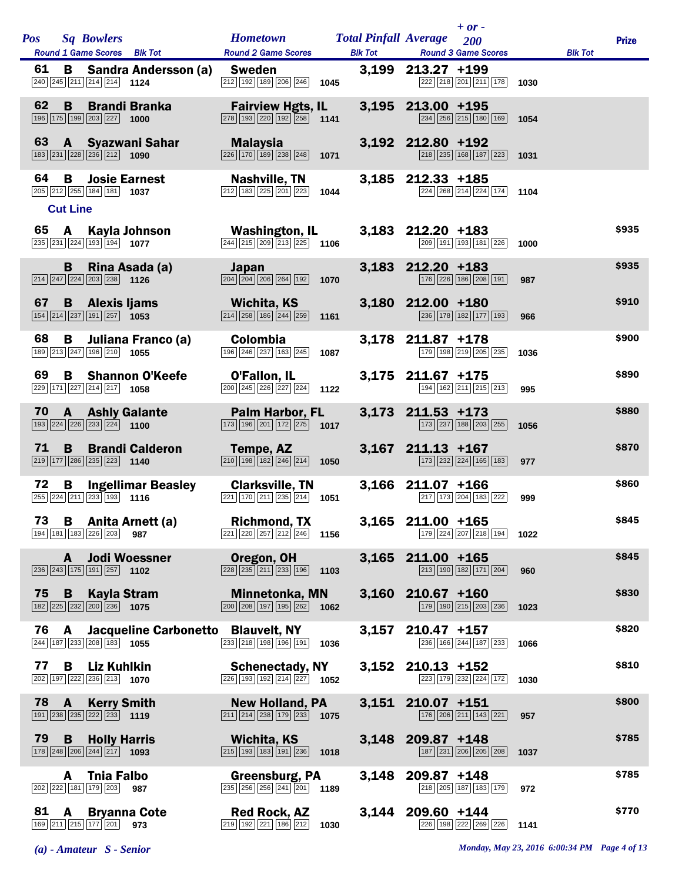| Pos |                      | <b>Sq Bowlers</b>                                                                                        |                                    | <b>Hometown</b>                                                                                                                     |      | <b>Total Pinfall Average</b> |                     | $+ or -$<br>200                                                       |      |                | <b>Prize</b> |
|-----|----------------------|----------------------------------------------------------------------------------------------------------|------------------------------------|-------------------------------------------------------------------------------------------------------------------------------------|------|------------------------------|---------------------|-----------------------------------------------------------------------|------|----------------|--------------|
| 61  |                      | Round 1 Game Scores Blk Tot                                                                              |                                    | <b>Round 2 Game Scores</b>                                                                                                          |      | <b>Blk Tot</b>               | $213.27 + 199$      | <b>Round 3 Game Scores</b>                                            |      | <b>Blk Tot</b> |              |
|     | В                    | 240 245 211 214 214 1124                                                                                 | <b>Sandra Andersson (a)</b>        | <b>Sweden</b><br>212 192 189 206 246                                                                                                | 1045 | 3,199                        |                     | 222 218 201 211 178                                                   | 1030 |                |              |
| 62  | B                    | 196 175 199 203 227                                                                                      | <b>Brandi Branka</b><br>1000       | <b>Fairview Hgts, IL</b><br>278 193 220 192 258                                                                                     | 1141 | 3,195                        | 213.00 +195         | 234 256 215 180 169                                                   | 1054 |                |              |
| 63  |                      | 183 231 228 236 212 1090                                                                                 | A Syazwani Sahar                   | <b>Malaysia</b><br>226 170 189 238 248                                                                                              | 1071 |                              | 3,192 212.80 +192   | 218 235 168 187 223                                                   | 1031 |                |              |
| 64  | в<br><b>Cut Line</b> | <b>Josie Earnest</b><br>205 212 255 184 181                                                              | 1037                               | <b>Nashville, TN</b><br>$\boxed{212}$ $\boxed{183}$ $\boxed{225}$ $\boxed{201}$ $\boxed{223}$                                       | 1044 | 3,185                        | 212.33 +185         | 224 268 214 224 174                                                   | 1104 |                |              |
| 65  | A                    | 235 231 224 193 194 1077                                                                                 | Kayla Johnson                      | <b>Washington, IL</b><br>$\overline{ 244 }$ $\overline{ 215 }$ $\overline{ 209 }$ $\overline{ 213 }$ $\overline{ 225 }$ <b>1106</b> |      |                              | $3,183$ 212.20 +183 | 209 191 193 181 226                                                   | 1000 |                | \$935        |
|     | B                    | $\boxed{214}$ $\boxed{247}$ $\boxed{224}$ $\boxed{203}$ $\boxed{238}$ 1126                               | Rina Asada (a)                     | Japan<br>$\boxed{204}$ $\boxed{204}$ $\boxed{206}$ $\boxed{264}$ $\boxed{192}$                                                      | 1070 | 3,183                        | $212.20 + 183$      | 176 226 186 208 191                                                   | 987  |                | \$935        |
| 67  | B                    | <b>Alexis ljams</b><br>154 214 237 191 257 1053                                                          |                                    | <b>Wichita, KS</b><br>$\boxed{214}$ $\boxed{258}$ $\boxed{186}$ $\boxed{244}$ $\boxed{259}$                                         | 1161 |                              | 3,180 212.00 +180   | 236 178 182 177 193                                                   | 966  |                | \$910        |
| 68  | в                    | 189 213 247 196 210 1055                                                                                 | Juliana Franco (a)                 | <b>Colombia</b><br>196 246 237 163 245                                                                                              | 1087 | 3,178                        | 211.87 +178         | 179 198 219 205 235                                                   | 1036 |                | \$900        |
| 69  | В                    | 229 171 227 214 217 1058                                                                                 | <b>Shannon O'Keefe</b>             | <b>O'Fallon, IL</b><br>200 245 226 227 224                                                                                          | 1122 |                              | $3,175$ 211.67 +175 | 194 162 211 215 213                                                   | 995  |                | \$890        |
| 70  | $\mathbf{A}$         | $\boxed{193}$ $\boxed{224}$ $\boxed{226}$ $\boxed{233}$ $\boxed{224}$ <b>1100</b>                        | <b>Ashly Galante</b>               | <b>Palm Harbor, FL</b><br>$\boxed{173}$ $\boxed{196}$ $\boxed{201}$ $\boxed{172}$ $\boxed{275}$ <b>1017</b>                         |      | 3,173                        | $211.53$ +173       | 173 237 188 203 255                                                   | 1056 |                | \$880        |
| 71  | B                    | $\boxed{219}$ 177 286 235 223 1140                                                                       | <b>Brandi Calderon</b>             | Tempe, AZ<br>$\boxed{210}$ $\boxed{198}$ $\boxed{182}$ $\boxed{246}$ $\boxed{214}$                                                  | 1050 |                              | $3,167$ 211.13 +167 | 173 232 224 165 183                                                   | 977  |                | \$870        |
| 72  | в                    | $\boxed{255}$ $\boxed{224}$ $\boxed{211}$ $\boxed{233}$ 193 1116                                         | <b>Ingellimar Beasley</b>          | <b>Clarksville, TN</b><br>$\boxed{221}$ $\boxed{170}$ $\boxed{211}$ $\boxed{235}$ $\boxed{214}$                                     | 1051 | 3,166                        | $211.07 + 166$      | 217 173 204 183 222                                                   | 999  |                | \$860        |
|     |                      | 194 181 183 226 203 987                                                                                  | 73 B Anita Arnett (a)              | <b>Richmond, TX</b><br>221 220 257 212 246                                                                                          | 1156 |                              | 3,165 211.00 +165   | 179 224 207 218 194                                                   | 1022 |                | \$845        |
|     | A                    | $\boxed{236}$ $\boxed{243}$ $\boxed{175}$ $\boxed{191}$ $\boxed{257}$ <b>1102</b>                        | <b>Jodi Woessner</b>               | Oregon, OH<br>$\boxed{228}$ $\boxed{235}$ $\boxed{211}$ $\boxed{233}$ $\boxed{196}$                                                 | 1103 | 3,165                        | $211.00 + 165$      | $\boxed{213}$ $\boxed{190}$ $\boxed{182}$ $\boxed{171}$ $\boxed{204}$ | 960  |                | \$845        |
| 75  | B                    | Kayla Stram<br>$\boxed{182}\boxed{225}\boxed{232}\boxed{200}\boxed{236}$ 1075                            |                                    | <b>Minnetonka, MN</b><br>$\boxed{200}$ $\boxed{208}$ $\boxed{197}$ $\boxed{195}$ $\boxed{262}$                                      | 1062 |                              | $3,160$ 210.67 +160 | 179 190 215 203 236                                                   | 1023 |                | \$830        |
| 76  | A                    | 244 187 233 208 183 1055                                                                                 | Jacqueline Carbonetto Blauvelt, NY | $\boxed{233}$ $\boxed{218}$ $\boxed{198}$ $\boxed{196}$ $\boxed{191}$                                                               | 1036 | 3,157                        | 210.47 +157         | 236 166 244 187 233                                                   | 1066 |                | \$820        |
| 77  | B                    | Liz Kuhlkin<br>202 197 222 236 213 1070                                                                  |                                    | <b>Schenectady, NY</b><br>$\overline{226}$ 193 192 214 227 1052                                                                     |      |                              | $3,152$ 210.13 +152 | 223 179 232 224 172                                                   | 1030 |                | \$810        |
| 78  | $\mathbf{A}$         | <b>Kerry Smith</b><br>$\boxed{191}$ $\boxed{238}$ $\boxed{235}$ $\boxed{222}$ $\boxed{233}$ 1119         |                                    | <b>New Holland, PA</b><br>$\boxed{211}$ $\boxed{214}$ $\boxed{238}$ $\boxed{179}$ $\boxed{233}$ <b>1075</b>                         |      |                              | 3,151 210.07 +151   | 176 206 211 143 221                                                   | 957  |                | \$800        |
| 79  | B                    | <b>Holly Harris</b><br>$\boxed{178}$ $\boxed{248}$ $\boxed{206}$ $\boxed{244}$ $\boxed{217}$ <b>1093</b> |                                    | <b>Wichita, KS</b><br>$\boxed{215}$ $\boxed{193}$ $\boxed{183}$ $\boxed{191}$ $\boxed{236}$                                         | 1018 |                              | 3,148 209.87 +148   | 187 231 206 205 208                                                   | 1037 |                | \$785        |
|     | A                    | <b>Thia Falbo</b><br>202 222 181 179 203                                                                 | 987                                | <b>Greensburg, PA</b><br>$\overline{235}$ $\overline{256}$ $\overline{256}$ $\overline{241}$ $\overline{201}$                       | 1189 | 3,148                        | 209.87 +148         | 218 205 187 183 179                                                   | 972  |                | \$785        |
| 81  | A                    | 169 211 215 177 201                                                                                      | <b>Bryanna Cote</b><br>973         | <b>Red Rock, AZ</b><br>219 192 221 186 212                                                                                          | 1030 | 3,144                        | 209.60 +144         | 226 198 222 269 226                                                   | 1141 |                | \$770        |

*(a) - Amateur S - Senior Monday, May 23, 2016 6:00:34 PM Page 4 of 13*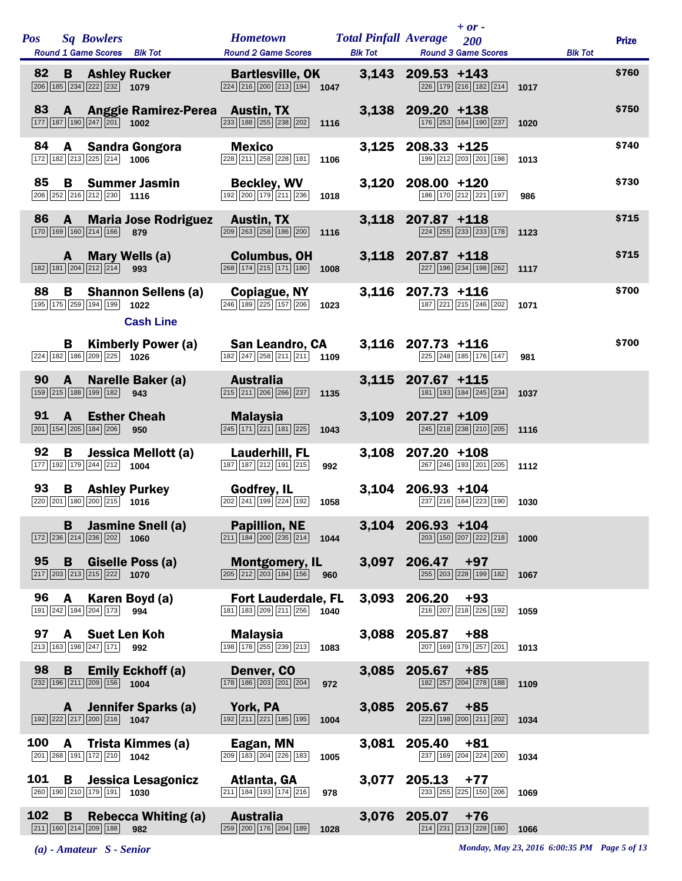| <b>Pos</b> |    |              | <b>Sq Bowlers</b>                                                                 |                                                        | <b>Hometown</b>                                                                                           |      | <b>Total Pinfall Average</b> |                    | $+ or -$<br>200                                                                |      |                | <b>Prize</b> |
|------------|----|--------------|-----------------------------------------------------------------------------------|--------------------------------------------------------|-----------------------------------------------------------------------------------------------------------|------|------------------------------|--------------------|--------------------------------------------------------------------------------|------|----------------|--------------|
|            |    |              | Round 1 Game Scores Blk Tot                                                       |                                                        | <b>Round 2 Game Scores</b>                                                                                |      | <b>Blk Tot</b>               |                    | <b>Round 3 Game Scores</b>                                                     |      | <b>Blk Tot</b> |              |
| 82         |    | B            | $\boxed{206}$ $\boxed{185}$ $\boxed{234}$ $\boxed{222}$ $\boxed{232}$ <b>1079</b> | <b>Ashley Rucker</b>                                   | <b>Bartlesville, OK</b><br>$\boxed{224}$ $\boxed{216}$ $\boxed{200}$ $\boxed{213}$ $\boxed{194}$ 1047     |      |                              | 3,143 209.53 +143  | 226 179 216 182 214                                                            | 1017 |                | \$760        |
| 83         |    |              | $\boxed{177}$ $\boxed{187}$ $\boxed{190}$ $\boxed{247}$ $\boxed{201}$ <b>1002</b> | A Anggie Ramirez-Perea Austin, TX                      | $\overline{233}$ 188 255 238 202                                                                          | 1116 |                              | 3,138 209.20 +138  | 176 253 164 190 237 1020                                                       |      |                | \$750        |
| 84         |    |              | 172 182 213 225 214 1006                                                          | A Sandra Gongora                                       | <b>Mexico</b><br>228 211 258 228 181                                                                      | 1106 | 3,125                        | $208.33 + 125$     | 199 212 203 201 198                                                            | 1013 |                | \$740        |
| 85         |    | B            | $\boxed{206}$ $\boxed{252}$ $\boxed{216}$ $\boxed{212}$ $\boxed{230}$ <b>1116</b> | <b>Summer Jasmin</b>                                   | <b>Beckley, WV</b><br>$\boxed{192}$ $\boxed{200}$ $\boxed{179}$ $\boxed{211}$ $\boxed{236}$               | 1018 |                              | 3,120 208.00 +120  | 186 170 212 221 197                                                            | 986  |                | \$730        |
| 86         |    | A            | $\boxed{170}$ $\boxed{169}$ $\boxed{160}$ $\boxed{214}$ $\boxed{166}$             | <b>Maria Jose Rodriguez</b><br>879                     | <b>Austin, TX</b><br>$\boxed{209}$ $\boxed{263}$ $\boxed{258}$ $\boxed{186}$ $\boxed{200}$                | 1116 | 3,118                        | 207.87 +118        | 224 255 233 233 178                                                            | 1123 |                | \$715        |
|            |    | A            | $\boxed{182}$ $\boxed{181}$ $\boxed{204}$ $\boxed{212}$ $\boxed{214}$             | <b>Mary Wells (a)</b><br>993                           | <b>Columbus, OH</b><br>$\boxed{268}$ $\boxed{174}$ $\boxed{215}$ $\boxed{171}$ $\boxed{180}$              | 1008 |                              | 3,118 207.87 +118  | 227 196 234 198 262                                                            | 1117 |                | \$715        |
| 88         |    | В            | 195 175 259 194 199                                                               | <b>Shannon Sellens (a)</b><br>1022<br><b>Cash Line</b> | <b>Copiague, NY</b><br>$\boxed{246}$ 189 $\boxed{225}$ 157 $\boxed{206}$                                  | 1023 | 3,116                        | $207.73 +116$      | 187 221 215 246 202                                                            | 1071 |                | \$700        |
|            |    | В            | 224 182 186 209 225 1026                                                          | <b>Kimberly Power (a)</b>                              | <b>San Leandro, CA</b><br>$\boxed{182}\boxed{247}\boxed{258}\boxed{211}\boxed{211}$ 1109                  |      |                              | 3,116 207.73 +116  | 225 248 185 176 147                                                            | 981  |                | \$700        |
| 90         |    | $\mathbf{A}$ | 159 215 188 199 182                                                               | Narelle Baker (a)<br>943                               | <b>Australia</b><br>215 211 206 266 237                                                                   | 1135 |                              | 3,115 207.67 +115  | 181 193 184 245 234                                                            | 1037 |                |              |
| 91         |    | $\mathbf{A}$ | <b>Esther Cheah</b><br>201 154 205 184 206                                        | 950                                                    | <b>Malaysia</b><br>$\boxed{245}$ $\boxed{171}$ $\boxed{221}$ $\boxed{181}$ $\boxed{225}$                  | 1043 | 3,109                        | 207.27 +109        | 245 218 238 210 205                                                            | 1116 |                |              |
| 92         |    | B            | $\boxed{177}$ $\boxed{192}$ $\boxed{179}$ $\boxed{244}$ $\boxed{212}$ <b>1004</b> | Jessica Mellott (a)                                    | Lauderhill, FL<br>187 187 212 191 215                                                                     | 992  | 3,108                        | 207.20 +108        | 267 246 193 201 205                                                            | 1112 |                |              |
| 93         |    | B            | $\boxed{220}\boxed{201}\boxed{180}\boxed{200}\boxed{215}$ 1016                    | <b>Ashley Purkey</b>                                   | <b>Godfrey, IL</b><br>202 241 199 224 192                                                                 | 1058 | 3,104                        | 206.93 +104        | 237 216 164 223 190                                                            | 1030 |                |              |
|            |    |              | $\boxed{172}$ $\boxed{236}$ $\boxed{214}$ $\boxed{236}$ $\boxed{202}$ 1060        | <b>B</b> Jasmine Snell (a)                             | <b>Papillion, NE</b><br>$\boxed{211}$ $\boxed{184}$ $\boxed{200}$ $\boxed{235}$ $\boxed{214}$ <b>1044</b> |      |                              | 3,104 206.93 +104  | $\boxed{203}$ $\boxed{150}$ $\boxed{207}$ $\boxed{222}$ $\boxed{218}$ 1000     |      |                |              |
|            |    | 95 B         | $\boxed{217}$ $\boxed{203}$ $\boxed{213}$ $\boxed{215}$ $\boxed{222}$ <b>1070</b> | Giselle Poss (a)                                       | <b>Montgomery, IL</b><br>$\boxed{205}$ $\boxed{212}$ $\boxed{203}$ $\boxed{184}$ $\boxed{156}$ 960        |      |                              | 3,097 206.47       | $+97$<br>255 203 228 199 182 1067                                              |      |                |              |
|            | 96 | A            | 191 242 184 204 173 994                                                           | Karen Boyd (a)                                         | <b>Fort Lauderdale, FL</b><br>181 183 209 211 256 1040                                                    |      | 3,093                        | 206.20             | $+93$<br>216 207 218 226 192 1059                                              |      |                |              |
|            |    |              | 97 A Suet Len Koh<br>213 163 198 247 171 992                                      |                                                        | Malaysia<br>198 178 255 239 213                                                                           | 1083 |                              | 3,088 205.87 +88   | 207 169 179 257 201                                                            | 1013 |                |              |
| 98         |    | <b>B</b>     | 232 196 211 209 156 1004                                                          | <b>Emily Eckhoff (a)</b>                               | Denver, CO<br>$\boxed{178}$ $\boxed{186}$ $\boxed{203}$ $\boxed{201}$ $\boxed{204}$                       | 972  |                              | $3,085$ 205.67 +85 | $\boxed{182}$ $\boxed{257}$ $\boxed{204}$ $\boxed{278}$ $\boxed{188}$ 1109     |      |                |              |
|            |    |              | 192 222 217 200 216 1047                                                          | A Jennifer Sparks (a)                                  | York, PA<br>$\boxed{192}$ $\boxed{211}$ $\boxed{221}$ $\boxed{185}$ $\boxed{195}$                         | 1004 |                              | 3,085 205.67       | $+85$<br>223 198 200 211 202 1034                                              |      |                |              |
| 100        |    | A            | 201 268 191 172 210 1042                                                          | Trista Kimmes (a)                                      | Eagan, MN<br>$\boxed{209}$ 183 204 226 183                                                                | 1005 | 3,081                        | 205.40             | $+81$<br>237 169 204 224 200 1034                                              |      |                |              |
| 101        |    |              | 260 190 210 179 191 1030                                                          | <b>B</b> Jessica Lesagonicz                            | Atlanta, GA<br>$\boxed{211}$ 184 193 174 216                                                              | 978  |                              | 3,077 205.13       | $+77$<br>233 255 225 150 206                                                   | 1069 |                |              |
| 102        |    | B            | $\boxed{211}$ 160 $\boxed{214}$ 209 188 982                                       | <b>Rebecca Whiting (a)</b>                             | <b>Australia</b><br>259 200 176 204 189                                                                   | 1028 |                              | 3,076 205.07       | $+76$<br>$\boxed{214}$ $\boxed{231}$ $\boxed{213}$ $\boxed{228}$ $\boxed{180}$ | 1066 |                |              |

*(a) - Amateur S - Senior Monday, May 23, 2016 6:00:35 PM Page 5 of 13*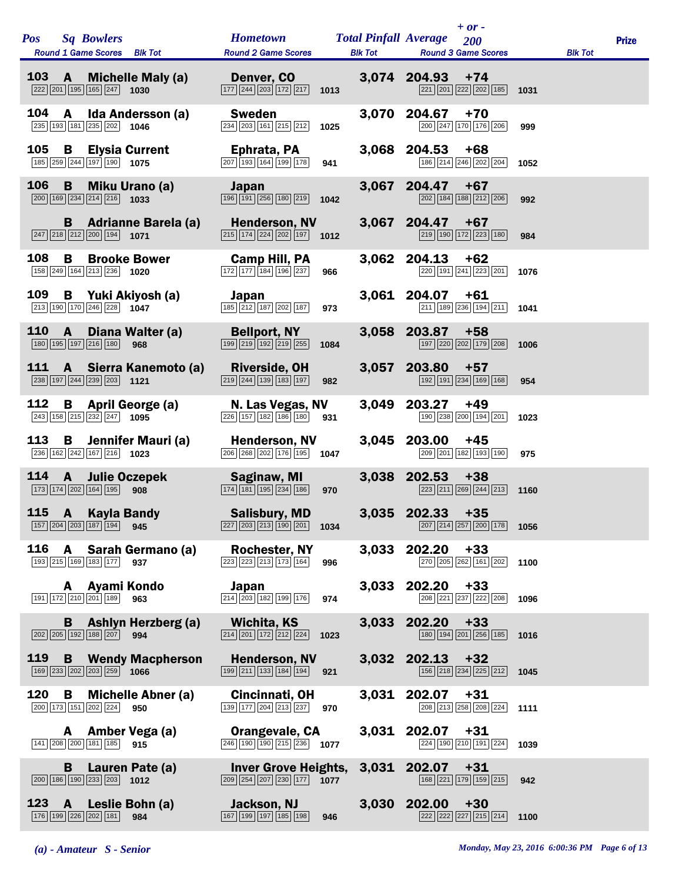| <b>Pos</b>    | <b>Sq Bowlers</b><br>Round 1 Game Scores Blk Tot                                       |                                           | <b>Hometown</b><br><b>Round 2 Game Scores</b>                                                                   | <b>Blk Tot</b> | $+ or -$<br><b>Total Pinfall Average</b> 200<br><b>Round 3 Game Scores</b>                     |      | <b>Blk Tot</b> | <b>Prize</b> |
|---------------|----------------------------------------------------------------------------------------|-------------------------------------------|-----------------------------------------------------------------------------------------------------------------|----------------|------------------------------------------------------------------------------------------------|------|----------------|--------------|
| $103 \quad A$ | $\overline{ 222   201   195   165   247 }$ 1030                                        | <b>Michelle Maly (a)</b>                  | Denver, CO<br>$\boxed{177}$ $\boxed{244}$ $\boxed{203}$ $\boxed{172}$ $\boxed{217}$ <b>1013</b>                 |                | 3,074 204.93<br>$+74$<br>221 201 222 202 185 1031                                              |      |                |              |
| 104           | A<br>235 193 181 235 202 1046                                                          | Ida Andersson (a)                         | <b>Sweden</b><br>234 203 161 215 212                                                                            | 3,070<br>1025  | 204.67<br>$+70$<br>200 247 170 176 206                                                         | 999  |                |              |
| 105           | B<br>$\boxed{185}$ $\boxed{259}$ $\boxed{244}$ $\boxed{197}$ $\boxed{190}$ <b>1075</b> | <b>Elysia Current</b>                     | Ephrata, PA<br>207 193 164 199 178                                                                              | 941            | 3,068 204.53<br>+68<br>186 214 246 202 204                                                     | 1052 |                |              |
| 106           | B<br>$\boxed{200}$ 169 234 214 216 1033                                                | Miku Urano (a)                            | <b>Japan</b><br>$\boxed{196}$ $\boxed{191}$ $\boxed{256}$ $\boxed{180}$ $\boxed{219}$                           | 1042           | 3,067 204.47<br>$+67$<br>202 184 188 212 206                                                   | 992  |                |              |
|               | B<br>$\boxed{247}$ $\boxed{218}$ $\boxed{212}$ $\boxed{200}$ $\boxed{194}$ <b>1071</b> | <b>Adrianne Barela (a)</b>                | <b>Henderson, NV</b><br>$\boxed{215}$ $\boxed{174}$ $\boxed{224}$ $\boxed{202}$ $\boxed{197}$ <b>1012</b>       |                | $3,067$ 204.47 +67<br>219 190 172 223 180                                                      | 984  |                |              |
| 108           | B<br>158 249 164 213 236 1020                                                          | <b>Brooke Bower</b>                       | Camp Hill, PA<br>$\boxed{172}$ $\boxed{177}$ $\boxed{184}$ $\boxed{196}$ $\boxed{237}$                          | 966            | 3,062 204.13<br>+62<br>220 191 241 223 201                                                     | 1076 |                |              |
| 109           | B<br>$\boxed{213}$ 190 170 246 228 1047                                                | Yuki Akiyosh (a)                          | Japan<br>185 212 187 202 187                                                                                    | 973            | $3,061$ 204.07 +61<br>$\boxed{211}$ 189 236 194 211 1041                                       |      |                |              |
| 110           | $\mathbf{A}$<br>180 195 197 216 180 968                                                | Diana Walter (a)                          | <b>Bellport, NY</b><br>199 219 192 219 255                                                                      | 1084           | 3,058 203.87<br>$+58$<br>197 220 202 179 208                                                   | 1006 |                |              |
| 111           | $\mathbf{A}$<br>$\boxed{238}$ 197 244 239 203 1121                                     | Sierra Kanemoto (a)                       | <b>Riverside, OH</b><br>$\boxed{219}$ $\boxed{244}$ $\boxed{139}$ $\boxed{183}$ $\boxed{197}$                   | 982            | 3,057 203.80<br>$+57$<br>$\boxed{192}$ $\boxed{191}$ $\boxed{234}$ $\boxed{169}$ $\boxed{168}$ | 954  |                |              |
| 112           | B<br>$\boxed{243}$ 158 $\boxed{215}$ $\boxed{232}$ $\boxed{247}$ 1095                  | April George (a)                          | N. Las Vegas, NV<br>$\boxed{226}$ 157 182 186 180                                                               | 3,049<br>931   | 203.27<br>+49<br>190 238 200 194 201                                                           | 1023 |                |              |
| 113           | B<br>$\boxed{236}$ 162 $\boxed{242}$ 167 216 1023                                      | Jennifer Mauri (a)                        | Henderson, NV<br>$\boxed{206}$ $\boxed{268}$ $\boxed{202}$ $\boxed{176}$ $\boxed{195}$ <b>1047</b>              |                | 3,045 203.00<br>+45<br>209 201 182 193 190                                                     | 975  |                |              |
| 114           | 173 174 202 164 195 908                                                                | <b>A</b> Julie Oczepek <b>Saginaw, MI</b> | $\boxed{174}$ $\boxed{181}$ $\boxed{195}$ $\boxed{234}$ $\boxed{186}$                                           | 970            | 3,038 202.53<br>$+38$<br>223 211 269 244 213                                                   | 1160 |                |              |
| 115           | $\overline{A}$                                                                         | Kayla Bandy                               | <b>Example 15 Salisbury, MD</b>                                                                                 |                | 3,035 202.33<br>$+35$                                                                          |      |                |              |
| 116           | <b>A</b><br>193 215 169 183 177 937                                                    | Sarah Germano (a)                         | <b>Rochester, NY</b><br>$\boxed{223}$ $\boxed{223}$ $\boxed{213}$ $\boxed{173}$ $\boxed{164}$                   | 3,033<br>996   | 202.20<br>$+33$<br>270 205 262 161 202 1100                                                    |      |                |              |
|               | A<br>191 172 210 201 189                                                               | Ayami Kondo<br>963                        | Japan<br>$\boxed{214}$ $\boxed{203}$ $\boxed{182}$ $\boxed{199}$ $\boxed{176}$                                  | 3,033<br>974   | 202.20<br>$+33$<br>208 221 237 222 208                                                         | 1096 |                |              |
|               | B<br>202 205 192 188 207 994                                                           | Ashlyn Herzberg (a)                       | Wichita, KS<br>$\boxed{214}$ $\boxed{201}$ $\boxed{172}$ $\boxed{212}$ $\boxed{224}$                            | 3,033<br>1023  | 202.20<br>$+33$<br>180 194 201 256 185                                                         | 1016 |                |              |
| 119           | B<br>$\boxed{169}$ $\boxed{233}$ $\boxed{202}$ $\boxed{203}$ $\boxed{259}$ <b>1066</b> | <b>Wendy Macpherson</b>                   | <b>Henderson, NV</b><br>$\boxed{199}$ $\boxed{211}$ $\boxed{133}$ $\boxed{184}$ $\boxed{194}$                   | 921            | 3.032 202.13<br>$+32$<br>$\boxed{156}\boxed{218}\boxed{234}\boxed{225}\boxed{212}$             | 1045 |                |              |
| 120           | В<br>200 173 151 202 224 950                                                           | <b>Michelle Abner (a)</b>                 | Cincinnati, OH<br>$\boxed{139}$ $\boxed{177}$ $\boxed{204}$ $\boxed{213}$ $\boxed{237}$                         | 3,031<br>970   | 202.07<br>$+31$<br>208 213 258 208 224                                                         | 1111 |                |              |
|               | A<br>141 208 200 181 185                                                               | Amber Vega (a)<br>915                     | Orangevale, CA<br>$\boxed{246}$ 190 190 215 236 1077                                                            |                | 3,031 202.07<br>$+31$<br>224 190 210 191 224                                                   | 1039 |                |              |
|               | B<br>$\boxed{200}$ $\boxed{186}$ $\boxed{190}$ $\boxed{233}$ $\boxed{203}$ <b>1012</b> | Lauren Pate (a)                           | Inver Grove Heights, 3,031<br>$\boxed{209}$ $\boxed{254}$ $\boxed{207}$ $\boxed{230}$ $\boxed{177}$ <b>1077</b> |                | 202.07<br>$+31$<br>168 221 179 159 215                                                         | 942  |                |              |
| 123           | $\overline{A}$<br>176 199 226 202 181                                                  | Leslie Bohn (a)<br>984                    | Jackson, NJ<br>167 199 197 185 198                                                                              | 3,030<br>946   | 202.00<br>$+30$<br>222 222 227 215 214                                                         | 1100 |                |              |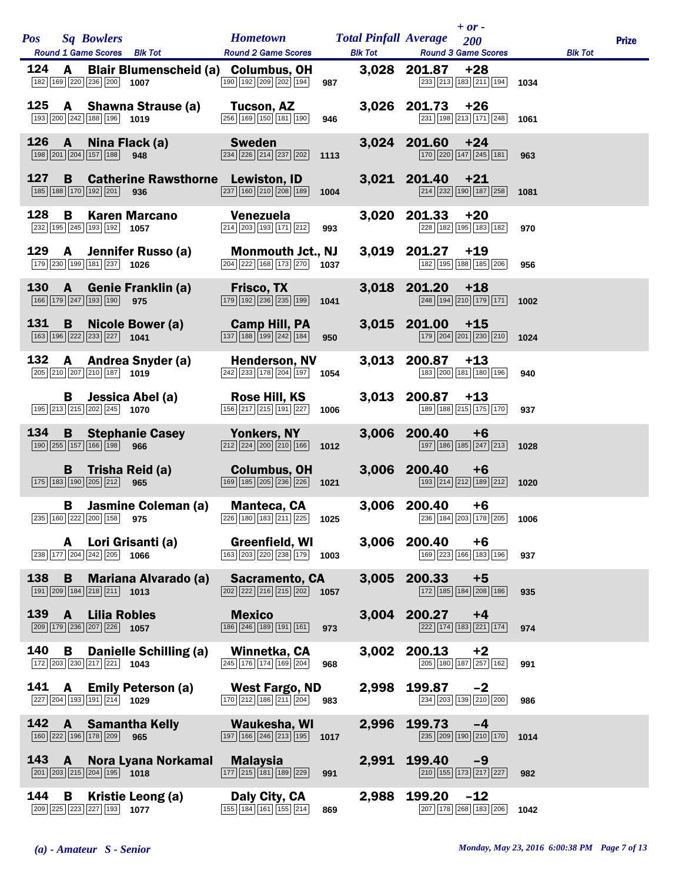| <b>Pos</b> |              | <b>Sq Bowlers</b>                                                                 | <b>Round 1 Game Scores</b> Blk Tot                                                                    | Hometown Total Pinfall Average 200                                                                                       |                |       | $+$ or $-$<br>Round 2 Game Scores Blk Tot Round 3 Game Scores                                                               |      | <b>Blk Tot</b> | <b>Prize</b> |
|------------|--------------|-----------------------------------------------------------------------------------|-------------------------------------------------------------------------------------------------------|--------------------------------------------------------------------------------------------------------------------------|----------------|-------|-----------------------------------------------------------------------------------------------------------------------------|------|----------------|--------------|
| 124        |              | 182 169 220 236 200 1007                                                          |                                                                                                       | A Blair Blumenscheid (a) Columbus, OH<br>190 192 209 202 194                                                             | 987            |       | $3,028$ 201.87 +28<br>233 213 183 211 194                                                                                   | 1034 |                |              |
|            |              | 193 200 242 188 196 1019                                                          |                                                                                                       | 125 A Shawna Strause (a) Tucson, AZ<br>$\boxed{256}$ 169 150 181 190                                                     | 946            |       | 3,026 201.73<br>$+26$<br>231 198 213 171 248 1061                                                                           |      |                |              |
|            |              |                                                                                   | $\boxed{198}$ $\boxed{201}$ $\boxed{204}$ $\boxed{157}$ $\boxed{188}$ <b>948</b>                      | 126 A Nina Flack (a) Sweden<br>$\boxed{234}$ $\boxed{226}$ $\boxed{214}$ $\boxed{237}$ $\boxed{202}$                     | 1113           |       | 3,024 201.60<br>$+24$<br>$\boxed{170}$ $\boxed{220}$ $\boxed{147}$ $\boxed{245}$ $\boxed{181}$                              | 963  |                |              |
| 127        | <b>B</b>     | 185 188 170 192 201 936                                                           |                                                                                                       | <b>Catherine Rawsthorne</b> Lewiston, ID<br>$\boxed{237}$ 160 $\boxed{210}$ $\boxed{208}$ 189 1004                       |                |       | $3,021$ 201.40 +21<br>$\boxed{214}$ $\boxed{232}$ $\boxed{190}$ $\boxed{187}$ $\boxed{258}$                                 | 1081 |                |              |
| 128        | B            | $\boxed{232}$ 195 245 193 192 1057                                                | <b>Karen Marcano</b>                                                                                  | Venezuela<br>$\boxed{214}$ $\boxed{203}$ $\boxed{193}$ $\boxed{171}$ $\boxed{212}$ 993                                   |                |       | 3,020 201.33<br>$+20$<br>228 182 195 183 182                                                                                | 970  |                |              |
|            |              | 179 230 199 181 237 1026                                                          |                                                                                                       | 129 A Jennifer Russo (a) Monmouth Jct., NJ<br>$\boxed{204}$ $\boxed{222}$ 168 173 270 1037                               |                |       | 3,019 201.27<br>$+19$<br>182 195 188 185 206                                                                                | 956  |                |              |
|            |              | $\boxed{166}$ $\boxed{179}$ $\boxed{247}$ $\boxed{193}$ $\boxed{190}$ 975         |                                                                                                       | 130 A Genie Franklin (a) Frisco, TX<br>$\boxed{179}$ $\boxed{192}$ $\boxed{236}$ $\boxed{235}$ $\boxed{199}$ <b>1041</b> |                |       | 3,018 201.20<br>$+18$<br>$\boxed{248}$ $\boxed{194}$ $\boxed{210}$ $\boxed{179}$ $\boxed{171}$                              | 1002 |                |              |
|            | 131 B        | 163 196 222 233 227 1041                                                          | Nicole Bower (a)                                                                                      | Camp Hill, PA<br>$\boxed{137}$ $\boxed{188}$ $\boxed{199}$ $\boxed{242}$ $\boxed{184}$ 950                               |                |       | $3,015$ 201.00 +15<br>179 204 201 230 210 1024                                                                              |      |                |              |
|            |              | 205 210 207 210 187 1019                                                          | 132 A Andrea Snyder (a)                                                                               | <b>Henderson, NV</b><br>$\overline{242}$ 233 178 204 197 1054                                                            |                |       | $3,013$ 200.87 +13<br>183 200 181 180 196                                                                                   | 940  |                |              |
|            | в            |                                                                                   | Jessica Abel (a)<br>$\boxed{195}$ $\boxed{213}$ $\boxed{215}$ $\boxed{202}$ $\boxed{245}$ <b>1070</b> | <b>Rose Hill, KS</b><br>$156$ 217 215 191 227                                                                            | 1006           |       | $3,013$ 200.87 +13<br>189 188 215 175 170                                                                                   | 937  |                |              |
|            |              |                                                                                   | $\boxed{190}$ $\boxed{255}$ $\boxed{157}$ $\boxed{166}$ $\boxed{198}$ 966                             | 134 B Stephanie Casey Yonkers, NY<br>$\boxed{212}\boxed{224}\boxed{200}\boxed{210}\boxed{166}$ 1012                      |                |       | 3,006 200.40<br>$+6$<br>$\boxed{197}$ $\boxed{186}$ $\boxed{185}$ $\boxed{247}$ $\boxed{213}$                               | 1028 |                |              |
|            |              | $\boxed{175}$ $\boxed{183}$ $\boxed{190}$ $\boxed{205}$ $\boxed{212}$ 965         |                                                                                                       | B Trisha Reid (a) Columbus, OH<br>$\boxed{169}$ $\boxed{185}$ $\boxed{205}$ $\boxed{236}$ $\boxed{226}$ <b>1021</b>      | <u>a matan</u> |       | 3,006 200.40<br>$+6$<br>193 214 212 189 212 1020                                                                            |      |                |              |
|            |              |                                                                                   |                                                                                                       | <b>B</b> Jasmine Coleman (a) Manteca, CA                                                                                 |                |       | 3,006 200.40<br>+6<br>$\boxed{235}$ 160 $\boxed{222}$ $\boxed{200}$ 158 <b>975 1006 103 1025 1025 1025 101 101 101 1006</b> |      |                |              |
|            | A            | $\boxed{238}$ $\boxed{177}$ $\boxed{204}$ $\boxed{242}$ $\boxed{205}$ 1066        | Lori Grisanti (a)                                                                                     | Greenfield, WI<br>163 203 220 238 179                                                                                    | 1003           |       | 3,006 200.40<br>$+6$<br>169 223 166 183 196                                                                                 | 937  |                |              |
| 138        |              | $\boxed{191}$ $\boxed{209}$ $\boxed{184}$ $\boxed{218}$ $\boxed{211}$ <b>1013</b> | <b>B</b> Mariana Alvarado (a)                                                                         | <b>Sacramento, CA</b><br>$\boxed{202}$ $\boxed{222}$ $\boxed{216}$ $\boxed{215}$ $\boxed{202}$ <b>1057</b>               |                |       | 3,005 200.33<br>$+5$<br>172 185 184 208 186                                                                                 | 935  |                |              |
| 139        | $\mathbf{A}$ | <b>Lilia Robles</b><br>209 179 236 207 226 1057                                   |                                                                                                       | <b>Mexico</b><br>186 246 189 191 161                                                                                     | 973            |       | 3,004 200.27<br>$+4$<br>222 174 183 221 174                                                                                 | 974  |                |              |
| 140        | B            | $\boxed{172}$ $\boxed{203}$ $\boxed{230}$ $\boxed{217}$ $\boxed{221}$ <b>1043</b> | <b>Danielle Schilling (a)</b>                                                                         | Winnetka, CA<br>245 176 174 169 204                                                                                      | 968            | 3,002 | 200.13<br>$+2$<br>205 180 187 257 162                                                                                       | 991  |                |              |
|            |              | $\boxed{227}$ $\boxed{204}$ $\boxed{193}$ $\boxed{191}$ $\boxed{214}$ <b>1029</b> | 141 A Emily Peterson (a)                                                                              | West Fargo, ND<br>$\boxed{170}$ $\boxed{212}$ $\boxed{186}$ $\boxed{211}$ $\boxed{204}$ 983                              |                | 2,998 | 199.87<br>$-2$<br>234 203 139 210 200                                                                                       | 986  |                |              |
| 142        |              | 160 222 196 178 209                                                               | <b>A</b> Samantha Kelly<br>965                                                                        | Waukesha, WI<br>$\boxed{197}$ $\boxed{166}$ $\boxed{246}$ $\boxed{213}$ $\boxed{195}$                                    | 1017           | 2,996 | 199.73<br>$-4$<br>$\boxed{235}$ $\boxed{209}$ $\boxed{190}$ $\boxed{210}$ $\boxed{170}$                                     | 1014 |                |              |
|            | 143 A        | $\boxed{201}$ $\boxed{203}$ $\boxed{215}$ $\boxed{204}$ $\boxed{195}$ <b>1018</b> | Nora Lyana Norkamal                                                                                   | <b>Malaysia</b><br>$\boxed{177}$ $\boxed{215}$ $\boxed{181}$ $\boxed{189}$ $\boxed{229}$                                 | 991            | 2,991 | 199.40<br>$-9$<br>210 155 173 217 227                                                                                       | 982  |                |              |
| 144        | B            | 209 225 223 227 193 1077                                                          | Kristie Leong (a)                                                                                     | Daly City, CA<br>$\boxed{155}$ $\boxed{184}$ $\boxed{161}$ $\boxed{155}$ $\boxed{214}$                                   | 869            | 2,988 | 199.20<br>$-12$<br>207 178 268 183 206                                                                                      | 1042 |                |              |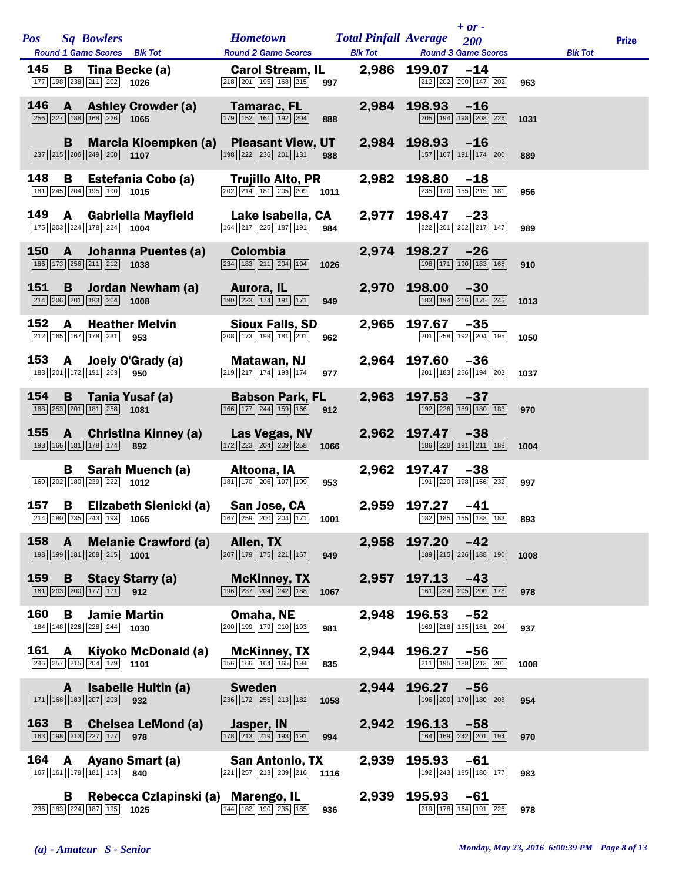|     |              | Pos Sq Bowlers                                                                                                                                                                                                                               | <b>Hometown Total Pinfall Average</b> 200                                                                 |              |                  | $+$ or -                                                                          |      |                | <b>Prize</b> |
|-----|--------------|----------------------------------------------------------------------------------------------------------------------------------------------------------------------------------------------------------------------------------------------|-----------------------------------------------------------------------------------------------------------|--------------|------------------|-----------------------------------------------------------------------------------|------|----------------|--------------|
|     |              | <b>Round 1 Game Scores</b> Blk Tot                                                                                                                                                                                                           | Round 2 Game Scores Blk Tot Round 3 Game Scores                                                           |              |                  |                                                                                   |      | <b>Blk Tot</b> |              |
| 145 |              | B Tina Becke (a) Carol Stream, IL 2,986 199.07 -14<br>$\boxed{177}$ $\boxed{198}$ $\boxed{238}$ $\boxed{211}$ $\boxed{202}$ <b>1026</b>                                                                                                      | $\boxed{218}$ $\boxed{201}$ $\boxed{195}$ $\boxed{168}$ $\boxed{215}$ 997                                 |              |                  | 212 202 200 147 202                                                               | 963  |                |              |
|     |              | 146 A Ashley Crowder (a) Tamarac, FL<br>$\boxed{256}$ $\boxed{227}$ 188 168 226 1065                                                                                                                                                         | $\boxed{179}$ $\boxed{152}$ $\boxed{161}$ $\boxed{192}$ $\boxed{204}$<br>888                              | 2,984        | $198.93 - 16$    | 205 194 198 208 226                                                               | 1031 |                |              |
|     |              | B Marcia Kloempken (a) Pleasant View, UT 2,984 198.93 -16<br>$\boxed{237}$ $\boxed{215}$ $\boxed{206}$ $\boxed{249}$ $\boxed{200}$ <b>1107</b>                                                                                               | $\boxed{198}$ $\boxed{222}$ $\boxed{236}$ $\boxed{201}$ $\boxed{131}$ <b>988</b>                          |              |                  | 157 167 191 174 200                                                               | 889  |                |              |
| 148 |              | $\boxed{181}$ $\boxed{245}$ $\boxed{204}$ $\boxed{195}$ $\boxed{190}$ <b>1015</b>                                                                                                                                                            | $\boxed{202}$ $\boxed{214}$ $\boxed{181}$ $\boxed{205}$ $\boxed{209}$ <b>1011</b>                         |              | 2,982 198.80 -18 | 235 170 155 215 181                                                               | 956  |                |              |
|     |              | 149 A Gabriella Mayfield<br>175 203 224 178 224 1004                                                                                                                                                                                         | Lake Isabella, CA<br>$\boxed{164}$ $\boxed{217}$ $\boxed{225}$ $\boxed{187}$ $\boxed{191}$ 984            |              | 2,977 198.47 -23 | 222 201 202 217 147                                                               | 989  |                |              |
|     |              | 150 A Johanna Puentes (a) Colombia<br>186 173 256 211 212 1038                                                                                                                                                                               | $\boxed{234}$ 183 211 204 194<br>1026                                                                     |              | 2,974 198.27 -26 | 198 171 190 183 168                                                               | 910  |                |              |
|     |              | 151 B Jordan Newham (a)<br>$\boxed{214}$ $\boxed{206}$ $\boxed{201}$ $\boxed{183}$ $\boxed{204}$ <b>1008</b>                                                                                                                                 | Aurora, IL <b>Aurora</b><br>$\boxed{190}$ $\boxed{223}$ $\boxed{174}$ $\boxed{191}$ $\boxed{171}$ 949     |              | 2,970 198.00 -30 | 183 194 216 175 245 1013                                                          |      |                |              |
| 152 | A            | <b>Heather Melvin</b><br>212 165 167 178 231 953                                                                                                                                                                                             | Sioux Falls, SD<br>208 173 199 181 201<br>962                                                             | 2,965        | 197.67           | $-35$<br>201 258 192 204 195 1050                                                 |      |                |              |
|     |              | 153 A Joely O'Grady (a)<br>$\boxed{183}$ $\boxed{201}$ $\boxed{172}$ $\boxed{191}$ $\boxed{203}$ 950                                                                                                                                         | Matawan, NJ<br>219 217 174 193 174<br>977                                                                 |              | 2,964 197.60 -36 | $\boxed{201}$ 183 $\boxed{256}$ 194 $\boxed{203}$ 1037                            |      |                |              |
| 154 |              | <b>B</b> Tania Yusaf (a) Babson Park, FL<br>$\boxed{188}$ $\boxed{253}$ $\boxed{201}$ $\boxed{181}$ $\boxed{258}$ <b>1081</b>                                                                                                                | $\boxed{166}$ $\boxed{177}$ $\boxed{244}$ $\boxed{159}$ $\boxed{166}$ 912                                 |              | 2,963 197.53 -37 | $\boxed{192}$ $\boxed{226}$ $\boxed{189}$ $\boxed{180}$ $\boxed{183}$             | 970  |                |              |
|     |              | 155 A Christina Kinney (a)<br>193 166 181 178 174 892                                                                                                                                                                                        | <b>Las Vegas, NV</b><br>$\boxed{172}$ $\boxed{223}$ $\boxed{204}$ $\boxed{209}$ $\boxed{258}$ <b>1066</b> |              | 2,962 197.47 -38 | $\boxed{186}$ $\boxed{228}$ $\boxed{191}$ $\boxed{211}$ $\boxed{188}$ <b>1004</b> |      |                |              |
|     |              | B Sarah Muench (a) Altoona, IA<br>$\boxed{169}$ $\boxed{202}$ $\boxed{180}$ $\boxed{239}$ $\boxed{222}$ <b>1012</b>                                                                                                                          | 181 170 206 197 199                                                                                       | 2,962<br>953 | 197.47 -38       | 191 220 198 156 232                                                               | 997  |                |              |
|     |              | 157 B Elizabeth Sienicki (a) San Jose, CA<br>$\boxed{214}$ $\boxed{180}$ $\boxed{235}$ $\boxed{243}$ $\boxed{193}$ <b>1065 107 107 108 108 108 108 108 108 108 108 108 108 108 1182 128 128 128 128 128 128 128 128 128 128 128 128 128 </b> |                                                                                                           |              | 2,959 197.27 -41 |                                                                                   | 893  |                |              |
| 158 | $\mathbf{A}$ | <b>Melanie Crawford (a)</b><br>$\boxed{198}$ $\boxed{199}$ $\boxed{181}$ $\boxed{208}$ $\boxed{215}$ <b>1001</b>                                                                                                                             | Allen, TX<br>$\boxed{207}$ $\boxed{179}$ $\boxed{175}$ $\boxed{221}$ $\boxed{167}$<br>949                 | 2,958        | $197.20 -42$     | 189 215 226 188 190                                                               | 1008 |                |              |
| 159 |              | <b>B</b> Stacy Starry (a)<br>161 203 200 177 171 912                                                                                                                                                                                         | <b>McKinney, TX</b><br>$\boxed{196}\boxed{237}\boxed{204}\boxed{242}\boxed{188}$<br>1067                  | 2,957        | 197.13           | $-43$<br>$\boxed{161}$ $\boxed{234}$ $\boxed{205}$ $\boxed{200}$ $\boxed{178}$    | 978  |                |              |
| 160 | В            | <b>Jamie Martin</b><br>184 148 226 228 244 1030                                                                                                                                                                                              | Omaha, NE<br>200 199 179 210 193<br>981                                                                   | 2,948        | 196.53           | -52<br>169 218 185 161 204                                                        | 937  |                |              |
| 161 | A            | Kiyoko McDonald (a)<br>$\boxed{246}\boxed{257}\boxed{215}\boxed{204}\boxed{179}$ 1101                                                                                                                                                        | <b>McKinney, TX</b><br>$\boxed{156}$ $\boxed{166}$ $\boxed{164}$ $\boxed{165}$ $\boxed{184}$<br>835       | 2,944        | 196.27           | -56<br>211 195 188 213 201                                                        | 1008 |                |              |
|     | A            | Isabelle Hultin (a)<br>$\boxed{171}$ $\boxed{168}$ $\boxed{183}$ $\boxed{207}$ $\boxed{203}$ 932                                                                                                                                             | <b>Sweden</b><br>$\boxed{236}$ $\boxed{172}$ $\boxed{255}$ $\boxed{213}$ $\boxed{182}$<br>1058            | 2,944        | 196.27           | $-56$<br>196 200 170 180 208                                                      | 954  |                |              |
| 163 |              | <b>B</b> Chelsea LeMond (a)<br>163 198 213 227 177 978                                                                                                                                                                                       | Jasper, IN<br>$\boxed{178}\boxed{213}\boxed{219}\boxed{193}\boxed{191}$<br>994                            | 2,942        | 196.13           | $-58$<br>164 169 242 201 194                                                      | 970  |                |              |
| 164 | A            | Ayano Smart (a)<br>167 161 178 181 153 840                                                                                                                                                                                                   | San Antonio, TX<br>$\boxed{221}$ $\boxed{257}$ $\boxed{213}$ $\boxed{209}$ $\boxed{216}$ 1116             | 2,939        | 195.93           | $-61$<br>192 243 185 186 177                                                      | 983  |                |              |
|     | В            | Rebecca Czlapinski (a) Marengo, IL<br>236 183 224 187 195 1025                                                                                                                                                                               | 144 182 190 235 185<br>936                                                                                | 2,939        | 195.93           | $-61$<br>219 178 164 191 226                                                      | 978  |                |              |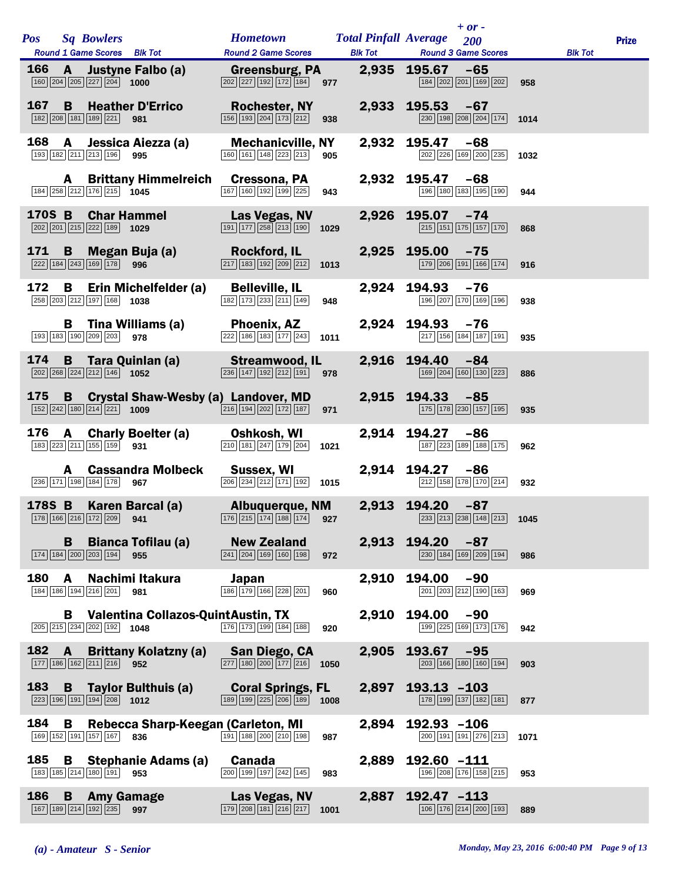|            |                          |                                                                                                                                                                                              |                                                                                                                  |                                                | $+ or -$                                                                                       |      |                |              |
|------------|--------------------------|----------------------------------------------------------------------------------------------------------------------------------------------------------------------------------------------|------------------------------------------------------------------------------------------------------------------|------------------------------------------------|------------------------------------------------------------------------------------------------|------|----------------|--------------|
| <b>Pos</b> |                          | <b>Sq Bowlers</b><br>Round 1 Game Scores Blk Tot                                                                                                                                             | <b>Hometown</b><br><b>Round 2 Game Scores</b>                                                                    | <b>Total Pinfall Average</b><br><b>Blk Tot</b> | 200<br><b>Round 3 Game Scores</b>                                                              |      | <b>Blk Tot</b> | <b>Prize</b> |
| 166        | $\mathbf{A}$             | <b>Justyne Falbo (a)</b><br>$\boxed{160}\boxed{204}\boxed{205}\boxed{227}\boxed{204}$ 1000                                                                                                   | <b>Greensburg, PA</b><br>$\boxed{202}$ $\boxed{227}$ $\boxed{192}$ $\boxed{172}$ $\boxed{184}$<br>977            |                                                | 2,935 195.67<br>$-65$<br>184 202 201 169 202                                                   | 958  |                |              |
| 167        | B.                       | <b>Heather D'Errico</b><br>182 208 181 189 221 981                                                                                                                                           | <b>Rochester, NY</b><br>156 193 204 173 212                                                                      | 938                                            | 2,933 195.53<br>$-67$<br>230 198 208 204 174 1014                                              |      |                |              |
| 168        | A                        | Jessica Aiezza (a)<br>193 182 211 213 196<br>995                                                                                                                                             | <b>Mechanicville, NY</b><br>$\boxed{160}$ $\boxed{161}$ $\boxed{148}$ $\boxed{223}$ $\boxed{213}$                | 905                                            | 2,932 195.47<br>-68<br>202 226 169 200 235                                                     | 1032 |                |              |
|            | A                        | <b>Brittany Himmelreich</b><br>184 258 212 176 215 1045                                                                                                                                      | Cressona, PA<br>$\boxed{167}$ $\boxed{160}$ $\boxed{192}$ $\boxed{199}$ $\boxed{225}$                            | 943                                            | 2,932 195.47<br>-68<br>196 180 183 195 190                                                     | 944  |                |              |
|            |                          | 170S B Char Hammel<br>$\boxed{202}$ $\boxed{201}$ $\boxed{215}$ $\boxed{222}$ $\boxed{189}$ <b>1029</b>                                                                                      | <b>Las Vegas, NV</b><br>$\boxed{191}$ $\boxed{177}$ $\boxed{258}$ $\boxed{213}$ $\boxed{190}$                    | 2,926<br>1029                                  | 195.07<br>$-74$<br>$\boxed{215}$ 151 175 157 170                                               | 868  |                |              |
| 171        | B<br>222 184 243 169 178 | Megan Buja (a)<br>996                                                                                                                                                                        | <b>Rockford, IL</b><br>$\boxed{217}$ 183 192 209 212                                                             | 1013                                           | 2,925 195.00<br>$-75$<br>179 206 191 166 174                                                   | 916  |                |              |
| 172        | В                        | Erin Michelfelder (a)<br>258 203 212 197 168 1038                                                                                                                                            | <b>Belleville, IL</b><br>182 173 233 211 149                                                                     | 948                                            | 2,924 194.93<br>$-76$<br>196 207 170 169 196                                                   | 938  |                |              |
|            | B<br>193 183 190 209 203 | Tina Williams (a)<br>978                                                                                                                                                                     | Phoenix, AZ<br>$\boxed{222}$ 186 183 177 243 1011                                                                |                                                | 2,924 194.93<br>$-76$<br>217 156 184 187 191                                                   | 935  |                |              |
| 174        |                          | <b>B</b> Tara Quinlan (a)<br>$\boxed{202}$ $\boxed{268}$ $\boxed{224}$ $\boxed{212}$ $\boxed{146}$ <b>1052</b>                                                                               | Streamwood, IL<br>$\boxed{236}$ $\boxed{147}$ $\boxed{192}$ $\boxed{212}$ $\boxed{191}$<br>978                   |                                                | 2,916 194.40<br>$-84$<br>169 204 160 130 223                                                   | 886  |                |              |
| 175        |                          | <b>B</b> Crystal Shaw-Wesby (a) Landover, MD<br>$\boxed{152}\boxed{242}\boxed{180}\boxed{214}\boxed{221}$ 1009                                                                               | $\overline{216}$ 194 202 172 187                                                                                 | 971                                            | 2,915 194.33<br>$-85$<br>$\boxed{175}$ $\boxed{178}$ $\boxed{230}$ $\boxed{157}$ $\boxed{195}$ | 935  |                |              |
| 176        | A                        | <b>Charly Boelter (a)</b><br>183 223 211 155 159 931                                                                                                                                         | Oshkosh, WI<br>$\boxed{210}$ 181 $\boxed{247}$ 179 $\boxed{204}$                                                 | 2,914<br>1021                                  | 194.27<br>$-86$<br>187 223 189 188 175                                                         | 962  |                |              |
|            | A<br>236 171 198 184 178 | <b>Cassandra Molbeck</b><br>967                                                                                                                                                              | Sussex, WI<br>$\overline{206}$ $\overline{234}$ $\overline{212}$ $\overline{171}$ $\overline{192}$ <b>1015</b>   |                                                | 2,914 194.27<br>$-86$<br>$\boxed{212}$ $\boxed{158}$ $\boxed{178}$ $\boxed{170}$ $\boxed{214}$ | 932  |                |              |
|            |                          | 178S B Karen Barcal (a)<br>$\boxed{178}$ $\boxed{166}$ $\boxed{216}$ $\boxed{172}$ $\boxed{209}$ <b>941</b> $\boxed{176}$ $\boxed{215}$ $\boxed{174}$ $\boxed{188}$ $\boxed{174}$ <b>927</b> | Albuquerque, NM                                                                                                  |                                                | 2,913 194.20<br>$-87$<br>233 213 238 148 213 1045                                              |      |                |              |
|            | B                        | <b>Bianca Tofilau (a)</b><br>174 184 200 203 194 955                                                                                                                                         | <b>New Zealand</b><br>$\boxed{241}$ $\boxed{204}$ $\boxed{169}$ $\boxed{160}$ $\boxed{198}$                      | 972                                            | 2,913 194.20<br>$-87$<br>230 184 169 209 194                                                   | 986  |                |              |
| 180        | $\mathsf{A}$             | Nachimi Itakura<br>184 186 194 216 201 981                                                                                                                                                   | Japan<br>$\boxed{186}$ $\boxed{179}$ $\boxed{166}$ $\boxed{228}$ $\boxed{201}$                                   | 2,910<br>960                                   | 194.00<br>$-90$<br>201 203 212 190 163                                                         | 969  |                |              |
|            |                          | <b>B</b> Valentina Collazos-QuintAustin, TX<br>205 215 234 202 192 1048                                                                                                                      | $\boxed{176}$ $\boxed{173}$ $\boxed{199}$ $\boxed{184}$ $\boxed{188}$                                            | 920                                            | 2,910 194.00<br>$-90$<br>199 225 169 173 176                                                   | 942  |                |              |
| 182 A      |                          | Brittany Kolatzny (a) San Diego, CA<br>177 186 162 211 216 952                                                                                                                               | $\boxed{277}$ 180 $\boxed{200}$ 177 $\boxed{216}$ 1050                                                           | 2,905                                          | 193.67<br>$-95$<br>203 166 180 160 194                                                         | 903  |                |              |
|            |                          | 183 B Taylor Bulthuis (a)<br>$\boxed{223}$ 196 191 194 208 1012                                                                                                                              | <b>Coral Springs, FL</b><br>$\boxed{189}$ $\boxed{199}$ $\boxed{225}$ $\boxed{206}$ $\boxed{189}$ $\boxed{1008}$ | 2,897                                          | $193.13 - 103$<br>178 199 137 182 181                                                          | 877  |                |              |
| 184        | B                        | Rebecca Sharp-Keegan (Carleton, MI<br>169 152 191 157 167 836                                                                                                                                | $\boxed{191}$ $\boxed{188}$ $\boxed{200}$ $\boxed{210}$ $\boxed{198}$                                            | 2,894<br>987                                   | $192.93 - 106$<br>$\boxed{200}$ 191 191 276 213                                                | 1071 |                |              |
| 185        |                          | <b>B</b> Stephanie Adams (a)<br>183 185 214 180 191 953                                                                                                                                      | <b>Canada</b><br>200 199 197 242 145                                                                             | 983                                            | 2,889 192.60 -111<br>196 208 176 158 215                                                       | 953  |                |              |
| 186        | B                        | <b>Amy Gamage</b><br>167 189 214 192 235 997                                                                                                                                                 | Las Vegas, NV<br>$\boxed{179}$ $\boxed{208}$ $\boxed{181}$ $\boxed{216}$ $\boxed{217}$ 1001                      | 2,887                                          | $192.47 - 113$<br>106 176 214 200 193                                                          | 889  |                |              |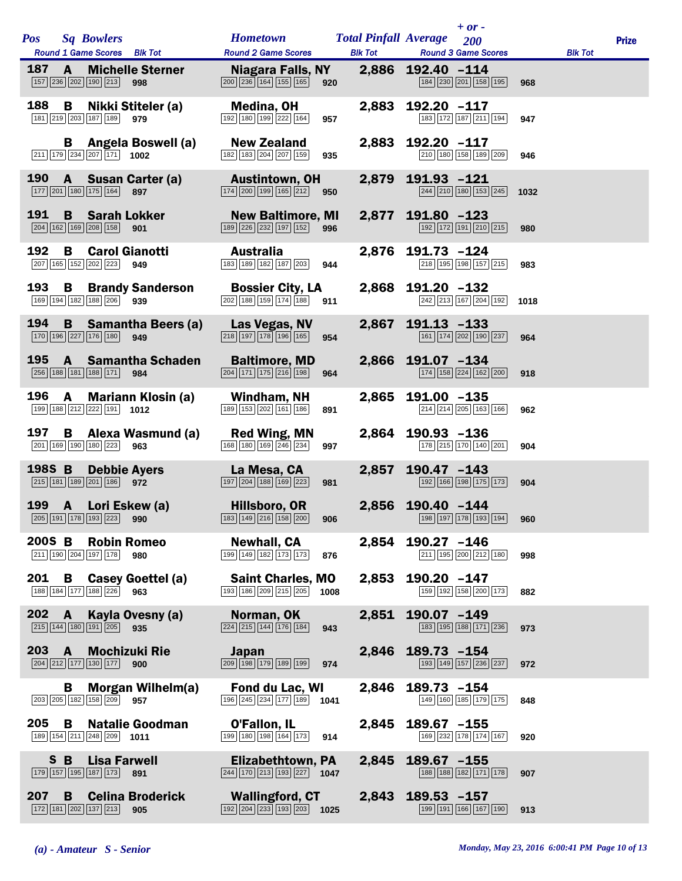| <b>Pos</b>    |              | <b>Sq Bowlers</b>                                                                                                 | <b>Hometown</b>                                                                                        | <b>Total Pinfall Average</b> |                   | $+ or -$<br>200                                                       |      |                | <b>Prize</b> |
|---------------|--------------|-------------------------------------------------------------------------------------------------------------------|--------------------------------------------------------------------------------------------------------|------------------------------|-------------------|-----------------------------------------------------------------------|------|----------------|--------------|
| 187           | $\mathbf{A}$ | Round 1 Game Scores Blk Tot<br><b>Michelle Sterner</b>                                                            | <b>Round 2 Game Scores</b><br>Niagara Falls, NY                                                        | <b>Blk Tot</b>               | 2,886 192.40 -114 | <b>Round 3 Game Scores</b>                                            |      | <b>Blk Tot</b> |              |
|               |              | 157 236 202 190 213<br>998                                                                                        | $\boxed{200}$ $\boxed{236}$ $\boxed{164}$ $\boxed{155}$ $\boxed{165}$                                  | 920                          |                   | 184 230 201 158 195                                                   | 968  |                |              |
| 188           |              | <b>B</b> Nikki Stiteler (a)<br>181 219 203 187 189 979                                                            | Medina, OH<br>$\boxed{192}$ $\boxed{180}$ $\boxed{199}$ $\boxed{222}$ $\boxed{164}$                    | 2,883<br>957                 | 192.20 -117       | 183 172 187 211 194                                                   | 947  |                |              |
|               |              | <b>B</b> Angela Boswell (a)<br>$\boxed{211}$ $\boxed{179}$ $\boxed{234}$ $\boxed{207}$ $\boxed{171}$ <b>1002</b>  | <b>New Zealand</b><br>182 183 204 207 159                                                              | 2,883<br>935                 | 192.20 -117       | 210 180 158 189 209                                                   | 946  |                |              |
| 190           | $\mathbf{A}$ | <b>Susan Carter (a)</b><br>177 201 180 175 164 897                                                                | <b>Austintown, OH</b><br>$\boxed{174}$ $\boxed{200}$ $\boxed{199}$ $\boxed{165}$ $\boxed{212}$ 950     |                              | 2,879 191.93 -121 | $\boxed{244}\boxed{210}\boxed{180}\boxed{153}\boxed{245}$             | 1032 |                |              |
| 191           |              | <b>B</b> Sarah Lokker<br>204 162 169 208 158<br>901                                                               | <b>New Baltimore, MI</b><br>189 226 232 197 152 996                                                    | 2,877                        | 191.80 -123       | 192 172 191 210 215                                                   | 980  |                |              |
| 192           | B.           | <b>Carol Gianotti</b><br>207 165 152 202 223<br>949                                                               | <b>Australia</b><br>183 189 182 187 203                                                                | 944                          | 2,876 191.73 -124 | 218 195 198 157 215                                                   | 983  |                |              |
| 193           | B            | <b>Brandy Sanderson</b><br>169 194 182 188 206<br>939                                                             | <b>Bossier City, LA</b><br>202 188 159 174 188                                                         | 911                          | 2,868 191.20 -132 | 242 213 167 204 192                                                   | 1018 |                |              |
| 194           | B            | <b>Samantha Beers (a)</b><br>170 196 227 176 180<br>949                                                           | Las Vegas, NV<br>$\boxed{218}$ $\boxed{197}$ $\boxed{178}$ $\boxed{196}$ $\boxed{165}$                 | 954                          | 2,867 191.13 -133 | 161 174 202 190 237                                                   | 964  |                |              |
|               |              | 195 A Samantha Schaden<br>256 188 181 188 171 984                                                                 | <b>Baltimore, MD</b><br>$\boxed{204}$ $\boxed{171}$ $\boxed{175}$ $\boxed{216}$ $\boxed{198}$          | 964                          | 2,866 191.07 -134 | $\boxed{174}$ $\boxed{158}$ $\boxed{224}$ $\boxed{162}$ $\boxed{200}$ | 918  |                |              |
| 196           | $\mathbf{A}$ | <b>Mariann Klosin (a)</b><br>199 188 212 222 191 1012                                                             | Windham, NH<br>$\boxed{189}$ $\boxed{153}$ $\boxed{202}$ $\boxed{161}$ $\boxed{186}$                   | 2,865<br>891                 | 191.00 -135       | 214 214 205 163 166                                                   | 962  |                |              |
| 197           | B.           | Alexa Wasmund (a)<br>201 169 190 180 223<br>963                                                                   | <b>Red Wing, MN</b><br>168 180 169 246 234                                                             | 997                          | 2,864 190.93 -136 | 178 215 170 140 201                                                   | 904  |                |              |
| 198S B        |              | <b>Debbie Ayers</b><br>215 181 189 201 186 972                                                                    | La Mesa, CA<br>$\boxed{197}$ $\boxed{204}$ $\boxed{188}$ $\boxed{169}$ $\boxed{223}$                   | 2,857<br>981                 | $190.47 - 143$    | 192 166 198 175 173                                                   | 904  |                |              |
|               |              | 199 A Lori Eskew (a)<br>$\boxed{205}$ 191 178 193 223 990 194 195 196 196 197 178 199 190 190 191 178 193 194 960 | Hillsboro, OR                                                                                          |                              | 2,856 190.40 -144 |                                                                       |      |                |              |
|               |              | 200S B Robin Romeo<br>211 190 204 197 178<br>980                                                                  | <b>Newhall, CA</b><br>$\boxed{199}$ $\boxed{149}$ $\boxed{182}$ $\boxed{173}$ $\boxed{173}$            | 876                          | 2,854 190.27 -146 | $\boxed{211}$ $\boxed{195}$ $\boxed{200}$ $\boxed{212}$ $\boxed{180}$ | 998  |                |              |
| 201           |              | <b>B</b> Casey Goettel (a)<br>188 184 177 188 226 963                                                             | <b>Saint Charles, MO</b><br>$\boxed{193}$ $\boxed{186}$ $\boxed{209}$ $\boxed{215}$ $\boxed{205}$ 1008 |                              | 2,853 190.20 -147 | 159 192 158 200 173                                                   | 882  |                |              |
| $202 \quad A$ |              | Kayla Ovesny (a)<br>$\boxed{215}$ $\boxed{144}$ $\boxed{180}$ $\boxed{191}$ $\boxed{205}$ 935                     | Norman, OK<br>$\boxed{224}$ $\boxed{215}$ $\boxed{144}$ $\boxed{176}$ $\boxed{184}$                    | 943                          | 2,851 190.07 -149 | 183 195 188 171 236                                                   | 973  |                |              |
| $203 \quad A$ |              | <b>Mochizuki Rie</b><br>$\boxed{204}$ $\boxed{212}$ $\boxed{177}$ $\boxed{130}$ $\boxed{177}$ 900                 | Japan<br>$\boxed{209}$ $\boxed{198}$ $\boxed{179}$ $\boxed{189}$ $\boxed{199}$                         | 974                          | 2,846 189.73 -154 | 193 149 157 236 237                                                   | 972  |                |              |
|               | B            | Morgan Wilhelm(a)<br>203 205 182 158 209 957                                                                      | Fond du Lac, WI<br>$\boxed{196}$ $\boxed{245}$ $\boxed{234}$ $\boxed{177}$ $\boxed{189}$ <b>1041</b>   |                              | 2,846 189.73 -154 | 149 160 185 179 175                                                   | 848  |                |              |
| 205           | B            | <b>Natalie Goodman</b><br>189 154 211 248 209 1011                                                                | O'Fallon, IL<br>199 180 198 164 173                                                                    | 914                          | 2,845 189.67 -155 | $\boxed{169}$ $\boxed{232}$ $\boxed{178}$ $\boxed{174}$ $\boxed{167}$ | 920  |                |              |
|               | S B          | <b>Lisa Farwell</b><br>179 157 195 187 173 891                                                                    | Elizabethtown, PA<br>$\boxed{244}$ 170 213 193 227 1047                                                |                              | 2,845 189.67 -155 | 188 188 182 171 178                                                   | 907  |                |              |
| 207           | B            | <b>Celina Broderick</b><br>172 181 202 137 213 905                                                                | <b>Wallingford, CT</b><br>$\boxed{192}$ $\boxed{204}$ $\boxed{233}$ $\boxed{193}$ $\boxed{203}$ 1025   |                              | 2,843 189.53 -157 | 199 191 166 167 190                                                   | 913  |                |              |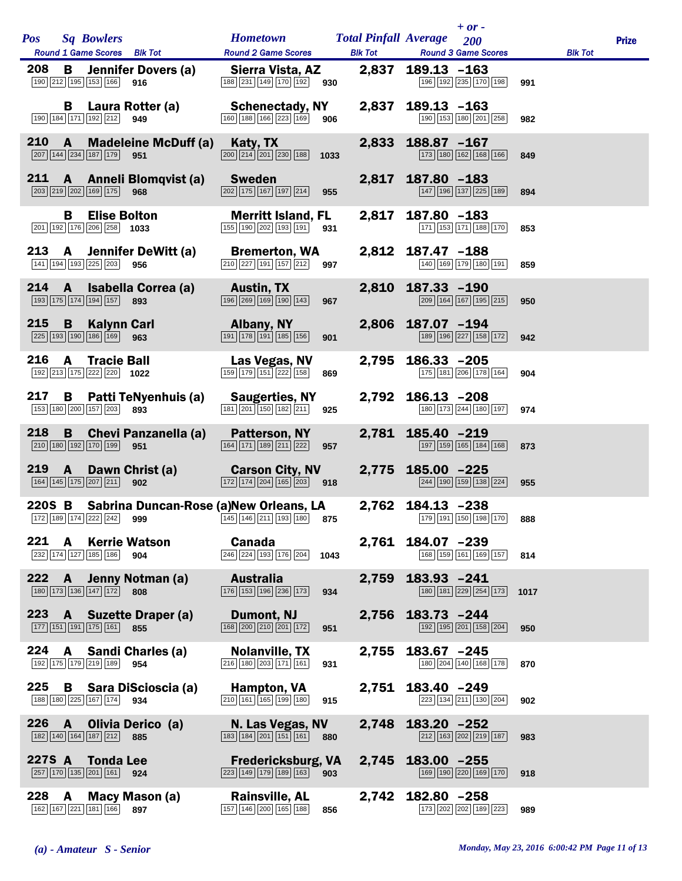| <b>Pos</b> |              | <b>Sq Bowlers</b><br>Round 1 Game Scores Blk Tot                                                                                                                                                                                                                                                       | <b>Hometown Total Pinfall Average</b><br><b>Round 2 Game Scores</b>                                    |              | <b>Blk Tot Round 3 Game Scores</b> | $+ or -$<br>200     |      | <b>Blk Tot</b> | <b>Prize</b> |
|------------|--------------|--------------------------------------------------------------------------------------------------------------------------------------------------------------------------------------------------------------------------------------------------------------------------------------------------------|--------------------------------------------------------------------------------------------------------|--------------|------------------------------------|---------------------|------|----------------|--------------|
| 208        |              | <b>B</b> Jennifer Dovers (a)<br>190 212 195 153 166<br>916                                                                                                                                                                                                                                             | Sierra Vista, AZ<br>188 231 149 170 192                                                                | 930          | 2,837 189.13 -163                  | 196 192 235 170 198 | 991  |                |              |
|            |              | <b>B</b> Laura Rotter (a)<br>190 184 171 192 212 949                                                                                                                                                                                                                                                   | Schenectady, NY<br>$\boxed{160}$ $\boxed{188}$ $\boxed{166}$ $\boxed{223}$ $\boxed{169}$<br>906        | 2,837        | $189.13 - 163$                     | 190 153 180 201 258 | 982  |                |              |
| 210        | $\mathbf{A}$ | <b>Madeleine McDuff (a)</b><br>$\boxed{207}$ 144 $\boxed{234}$ 187 179 951                                                                                                                                                                                                                             | Katy, TX<br>$\boxed{200}$ $\boxed{214}$ $\boxed{201}$ $\boxed{230}$ $\boxed{188}$<br>1033              | 2,833        | 188.87 -167                        | 173 180 162 168 166 | 849  |                |              |
| 211        |              | A Anneli Blomqvist (a)<br>203 219 202 169 175 968                                                                                                                                                                                                                                                      | Sweden<br>202 175 167 197 214<br>955                                                                   |              | 2,817 187.80 -183                  | 147 196 137 225 189 | 894  |                |              |
|            | В            | <b>Elise Bolton</b><br>$\boxed{201}$ 192 176 206 258 1033                                                                                                                                                                                                                                              | <b>Merritt Island, FL</b><br>$\boxed{155}$ $\boxed{190}$ $\boxed{202}$ $\boxed{193}$ $\boxed{191}$     | 2,817<br>931 | 187.80 -183                        | 171 153 171 188 170 | 853  |                |              |
| 213        |              | A Jennifer DeWitt (a)<br>141 194 193 225 203 956                                                                                                                                                                                                                                                       | <b>Bremerton, WA</b><br>$\boxed{210}$ $\boxed{227}$ $\boxed{191}$ $\boxed{157}$ $\boxed{212}$          | 997          | 2,812 187.47 -188                  | 140 169 179 180 191 | 859  |                |              |
| 214        | $\mathbf{A}$ | Isabella Correa (a)<br>$\boxed{193}$ $\boxed{175}$ $\boxed{174}$ $\boxed{194}$ $\boxed{157}$ 893                                                                                                                                                                                                       | <b>Austin, TX</b><br>$\boxed{196}\boxed{269}\boxed{169}\boxed{190}\boxed{143}$                         | 967          | 2,810 187.33 -190                  | 209 164 167 195 215 | 950  |                |              |
| 215        | B            | <b>Kalynn Carl</b><br>$\boxed{225}$ 193 190 186 169 963                                                                                                                                                                                                                                                | Albany, NY<br>191 178 191 185 156                                                                      | 901          | 2,806 187.07 -194                  | 189 196 227 158 172 | 942  |                |              |
| 216        | $\mathbf{A}$ | <b>Tracie Ball</b><br>$\boxed{192}$ $\boxed{213}$ $\boxed{175}$ $\boxed{222}$ $\boxed{220}$ <b>1022</b>                                                                                                                                                                                                | Las Vegas, NV<br>159 179 151 222 158                                                                   | 869          | 2,795 186.33 -205                  | 175 181 206 178 164 | 904  |                |              |
| 217        | B            | Patti TeNyenhuis (a)<br>153 180 200 157 203 893                                                                                                                                                                                                                                                        | <b>Saugerties, NY</b><br>$\boxed{181}$ $\boxed{201}$ $\boxed{150}$ $\boxed{182}$ $\boxed{211}$         | 925          | 2,792 186.13 -208                  | 180 173 244 180 197 | 974  |                |              |
| 218        | B            | <b>Chevi Panzanella (a)</b><br>210 180 192 170 199 951                                                                                                                                                                                                                                                 | Patterson, NY<br>164 171 189 211 222                                                                   | 957          | 2,781 185.40 -219                  | 197 159 165 184 168 | 873  |                |              |
| 219        | $\mathbf{A}$ | Dawn Christ (a) Carson City, NV<br>164 145 175 207 211<br>902                                                                                                                                                                                                                                          | $\boxed{172}$ $\boxed{174}$ $\boxed{204}$ $\boxed{165}$ $\boxed{203}$ 918                              |              | 2,775 185.00 -225                  | 244 190 159 138 224 | 955  |                |              |
|            |              | 220S B Sabrina Duncan-Rose (a)New Orleans, LA<br>$\boxed{172}$ $\boxed{189}$ $\boxed{174}$ $\boxed{222}$ $\boxed{242}$ <b>999</b> $\boxed{145}$ $\boxed{145}$ $\boxed{146}$ $\boxed{211}$ $\boxed{193}$ $\boxed{180}$ <b>875</b> $\boxed{179}$ $\boxed{191}$ $\boxed{191}$ $\boxed{196}$ $\boxed{170}$ |                                                                                                        |              | 2,762 184.13 -238                  |                     | 888  |                |              |
|            |              | 221 A Kerrie Watson<br>232 174 127 185 186 904                                                                                                                                                                                                                                                         | <b>Canada</b><br>246 224 193 176 204                                                                   | 1043         | 2,761 184.07 -239                  | 168 159 161 169 157 | 814  |                |              |
|            |              | 222 A Jenny Notman (a)<br>180 173 136 147 172 808                                                                                                                                                                                                                                                      | Australia<br>176 153 196 236 173                                                                       | 934          | 2,759 183.93 -241                  | 180 181 229 254 173 | 1017 |                |              |
|            |              | 223 A Suzette Draper (a)<br>177 151 191 175 161 855                                                                                                                                                                                                                                                    | Dumont, NJ<br>$\boxed{168}\boxed{200}\boxed{210}\boxed{201}\boxed{172}$                                | 951          | 2,756 183.73 -244                  | 192 195 201 158 204 | 950  |                |              |
| 224        | A            | Sandi Charles (a)<br>192 175 179 219 189 954                                                                                                                                                                                                                                                           | <b>Nolanville, TX</b><br>$\boxed{216}$ 180 203 171 161                                                 | 2,755<br>931 | $183.67 - 245$                     | 180 204 140 168 178 | 870  |                |              |
|            |              | 225 B Sara DiScioscia (a)<br>188 180 225 167 174 934                                                                                                                                                                                                                                                   | Hampton, VA<br>$\boxed{210}$ 161 165 199 180                                                           | 915          | 2,751 183.40 -249                  | 223 134 211 130 204 | 902  |                |              |
| 226        | $\mathbf{A}$ | Olivia Derico (a)<br>182 140 164 187 212 885                                                                                                                                                                                                                                                           | N. Las Vegas, NV<br>$\boxed{183}$ $\boxed{184}$ $\boxed{201}$ $\boxed{151}$ $\boxed{161}$              | 880          | 2,748 183.20 -252                  | 212 163 202 219 187 | 983  |                |              |
|            |              | 227S A Tonda Lee<br>$\boxed{257}$ 170 135 201 161 924                                                                                                                                                                                                                                                  | <b>Fredericksburg, VA</b><br>$\boxed{223}$ $\boxed{149}$ $\boxed{179}$ $\boxed{189}$ $\boxed{163}$ 903 |              | 2,745 183.00 -255                  | 169 190 220 169 170 | 918  |                |              |
| 228        | <b>A</b>     | Macy Mason (a)<br>162 167 221 181 166 897                                                                                                                                                                                                                                                              | <b>Rainsville, AL</b><br>157 146 200 165 188                                                           | 856          | 2,742 182.80 -258                  | 173 202 202 189 223 | 989  |                |              |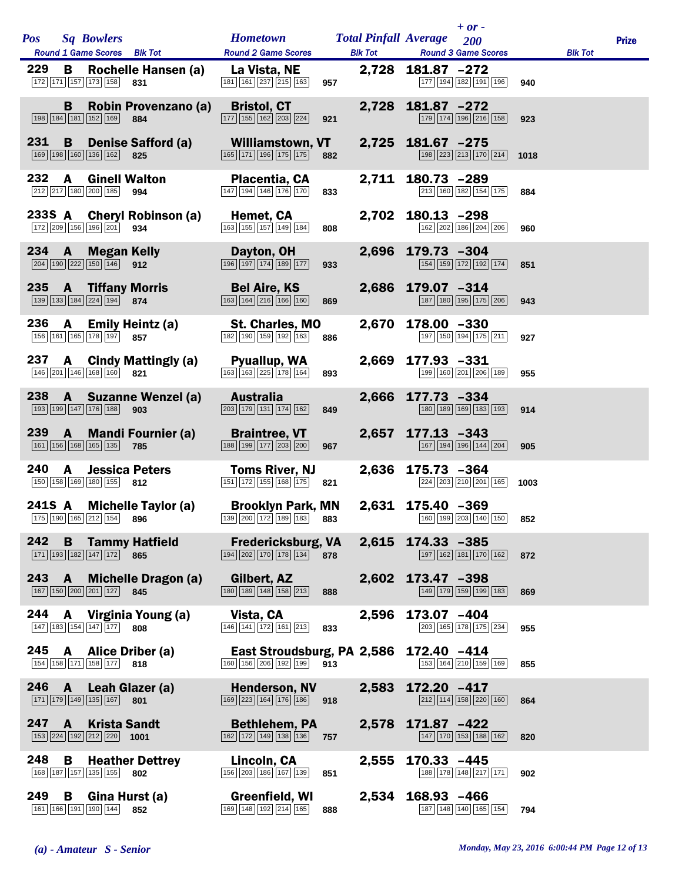| <b>Pos</b> |              | <b>Sq Bowlers</b>                                                                                        | Hometown Total Pinfall Average 200                                                                                                |     |                   | $+$ or $-$                                                            |      |                | <b>Prize</b> |
|------------|--------------|----------------------------------------------------------------------------------------------------------|-----------------------------------------------------------------------------------------------------------------------------------|-----|-------------------|-----------------------------------------------------------------------|------|----------------|--------------|
|            |              | Round 1 Game Scores Blk Tot                                                                              | <b>Round 2 Game Scores</b>                                                                                                        |     |                   | <b>Blk Tot Round 3 Game Scores</b>                                    |      | <b>Blk Tot</b> |              |
| 229        | B            | Rochelle Hansen (a)<br>$\boxed{172}$ $\boxed{171}$ $\boxed{157}$ $\boxed{173}$ $\boxed{158}$<br>831      | La Vista, NE<br>$\boxed{181}$ $\boxed{161}$ $\boxed{237}$ $\boxed{215}$ $\boxed{163}$                                             | 957 | 2,728 181.87 -272 | $\boxed{177}$ $\boxed{194}$ $\boxed{182}$ $\boxed{191}$ $\boxed{196}$ | 940  |                |              |
|            | B            | Robin Provenzano (a)<br>198 184 181 152 169<br>884                                                       | <b>Bristol, CT</b><br>177 155 162 203 224                                                                                         | 921 | 2,728 181.87 -272 | 179 174 196 216 158                                                   | 923  |                |              |
| 231        | B            | <b>Denise Safford (a)</b><br>169 198 160 136 162 825                                                     | Williamstown, VT<br>$\boxed{165}$ $\boxed{171}$ $\boxed{196}$ $\boxed{175}$ $\boxed{175}$                                         | 882 | 2,725 181.67 -275 | $\boxed{198}$ $\boxed{223}$ $\boxed{213}$ $\boxed{170}$ $\boxed{214}$ | 1018 |                |              |
| 232        | A            | <b>Ginell Walton</b><br>$\boxed{212}$ $\boxed{217}$ $\boxed{180}$ $\boxed{200}$ $\boxed{185}$ 994        | Placentia, CA<br>147 194 146 176 170                                                                                              | 833 | 2,711 180.73 -289 | 213 160 182 154 175                                                   | 884  |                |              |
|            |              | 233S A Cheryl Robinson (a)<br>172 209 156 196 201 934                                                    | Hemet, CA<br>163 155 157 149 184                                                                                                  | 808 | 2,702 180.13 -298 | 162 202 186 204 206                                                   | 960  |                |              |
| 234        | $\mathbf{A}$ | <b>Megan Kelly</b><br>$\boxed{204}$ 190 $\boxed{222}$ 150 146 912                                        | Dayton, OH<br>196 197 174 189 177                                                                                                 | 933 | 2,696 179.73 -304 | 154 159 172 192 174                                                   | 851  |                |              |
|            |              | 235 A Tiffany Morris<br>139 133 184 224 194 874                                                          | <b>Bel Aire, KS</b><br>$\boxed{163}$ $\boxed{164}$ $\boxed{216}$ $\boxed{166}$ $\boxed{160}$                                      | 869 | 2,686 179.07 -314 | 187 180 195 175 206                                                   | 943  |                |              |
| 236        | A            | <b>Emily Heintz (a)</b><br>156 161 165 178 197 857                                                       | <b>St. Charles, MO</b><br>182 190 159 192 163                                                                                     | 886 | 2,670 178.00 -330 | 197 150 194 175 211                                                   | 927  |                |              |
| 237        |              | A Cindy Mattingly (a)<br>146 201 146 168 160 821                                                         | Pyuallup, WA<br>$\boxed{163}$ $\boxed{163}$ $\boxed{225}$ $\boxed{178}$ $\boxed{164}$                                             | 893 | 2,669 177.93 -331 | 199 160 201 206 189                                                   | 955  |                |              |
| 238        |              | A Suzanne Wenzel (a)<br>193 199 147 176 188<br>903                                                       | Australia<br>$\boxed{203}$ $\boxed{179}$ $\boxed{131}$ $\boxed{174}$ $\boxed{162}$                                                | 849 | 2,666 177.73 -334 | 180 189 169 183 193                                                   | 914  |                |              |
| 239        | $\mathbf{A}$ | <b>Mandi Fournier (a)</b><br>161 156 168 165 135<br>785                                                  | <b>Braintree, VT</b><br>$\boxed{188}$ $\boxed{199}$ $\boxed{177}$ $\boxed{203}$ $\boxed{200}$                                     | 967 | 2,657 177.13 -343 | 167 194 196 144 204                                                   | 905  |                |              |
| 240        | $\mathbf{A}$ | <b>Jessica Peters</b><br>150 158 169 180 155 812                                                         | <b>Toms River, NJ</b><br>151 172 155 168 175                                                                                      | 821 | 2,636 175.73 -364 | 224 203 210 201 165                                                   | 1003 |                |              |
|            |              | 241S A Michelle Taylor (a)<br>175 190 165 212 154 896                                                    | <b>Brooklyn Park, MN</b><br>$\boxed{139}$ 200 $\boxed{172}$ 189 $\boxed{183}$ 883 160 $\boxed{160}$ $\boxed{199}$ 203 140 150 852 |     | 2,631 175.40 -369 |                                                                       |      |                |              |
|            |              | 242 B Tammy Hatfield<br>171 193 182 147 172 865                                                          | <b>Fredericksburg, VA</b><br>$\boxed{194}$ $\boxed{202}$ $\boxed{170}$ $\boxed{178}$ $\boxed{134}$ $\boxed{378}$                  |     | 2,615 174.33 -385 | 197 162 181 170 162                                                   | 872  |                |              |
| 243        |              | A Michelle Dragon (a)<br>167 150 200 201 127 845                                                         | Gilbert, AZ<br>$\boxed{180}$ $\boxed{189}$ $\boxed{148}$ $\boxed{158}$ $\boxed{213}$                                              | 888 | 2,602 173.47 -398 | 149 179 159 199 183                                                   | 869  |                |              |
|            |              | 244 A Virginia Young (a)<br>147 183 154 147 177 808                                                      | Vista, CA<br>146 141 172 161 213                                                                                                  | 833 | 2,596 173.07 -404 | 203 165 178 175 234                                                   | 955  |                |              |
| 245        | A            | Alice Driber (a)<br>154 158 171 158 177 818                                                              | East Stroudsburg, PA 2,586 172.40 -414<br>160 156 206 192 199 913                                                                 |     |                   | 153 164 210 159 169                                                   | 855  |                |              |
| 246 A      |              | Leah Glazer (a)<br>$\boxed{171}$ $\boxed{179}$ $\boxed{149}$ $\boxed{135}$ $\boxed{167}$ 801             | <b>Henderson, NV</b><br>$\boxed{169}$ $\boxed{223}$ $\boxed{164}$ $\boxed{176}$ $\boxed{186}$ 918                                 |     | 2,583 172.20 -417 | 212 114 158 220 160                                                   | 864  |                |              |
| 247        | $\mathbf{A}$ | <b>Krista Sandt</b><br>$\boxed{153}$ $\boxed{224}$ $\boxed{192}$ $\boxed{212}$ $\boxed{220}$ <b>1001</b> | <b>Bethlehem, PA</b><br>$\boxed{162}$ $\boxed{172}$ $\boxed{149}$ $\boxed{138}$ $\boxed{136}$                                     | 757 | 2,578 171.87 -422 | $\boxed{147}$ $\boxed{170}$ $\boxed{153}$ $\boxed{188}$ $\boxed{162}$ | 820  |                |              |
| 248        | В            | <b>Heather Dettrey</b><br>168 187 157 135 155 802                                                        | Lincoln, CA<br>156 203 186 167 139                                                                                                | 851 | 2,555 170.33 -445 | 188 178 148 217 171                                                   | 902  |                |              |
| 249        | B            | Gina Hurst (a)<br>161 166 191 190 144 852                                                                | Greenfield, WI<br>169 148 192 214 165                                                                                             | 888 | 2,534 168.93 -466 | 187 148 140 165 154                                                   | 794  |                |              |